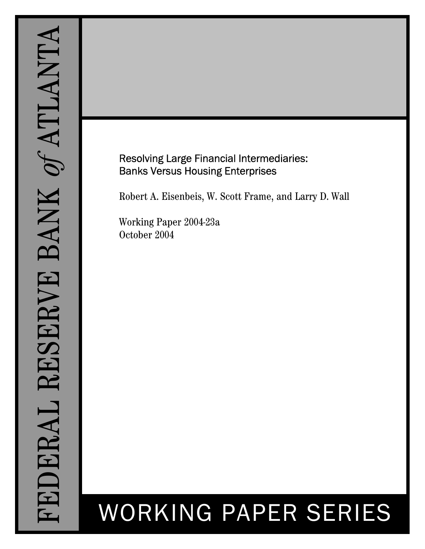## Resolving Large Financial Intermediaries: Banks Versus Housing Enterprises

Robert A. Eisenbeis, W. Scott Frame, and Larry D. Wall

Working Paper 2004-23a October 2004

# WORKING PAPER SERIES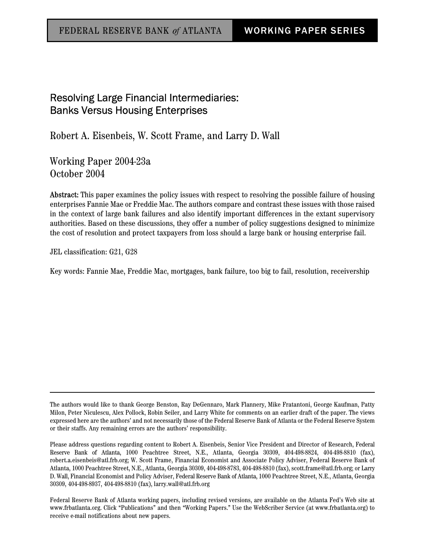### Resolving Large Financial Intermediaries: Banks Versus Housing Enterprises

Robert A. Eisenbeis, W. Scott Frame, and Larry D. Wall

Working Paper 2004-23a October 2004

Abstract: This paper examines the policy issues with respect to resolving the possible failure of housing enterprises Fannie Mae or Freddie Mac. The authors compare and contrast these issues with those raised in the context of large bank failures and also identify important differences in the extant supervisory authorities. Based on these discussions, they offer a number of policy suggestions designed to minimize the cost of resolution and protect taxpayers from loss should a large bank or housing enterprise fail.

JEL classification: G21, G28

Key words: Fannie Mae, Freddie Mac, mortgages, bank failure, too big to fail, resolution, receivership

The authors would like to thank George Benston, Ray DeGennaro, Mark Flannery, Mike Fratantoni, George Kaufman, Patty Milon, Peter Niculescu, Alex Pollock, Robin Seiler, and Larry White for comments on an earlier draft of the paper. The views expressed here are the authors' and not necessarily those of the Federal Reserve Bank of Atlanta or the Federal Reserve System or their staffs. Any remaining errors are the authors' responsibility.

Please address questions regarding content to Robert A. Eisenbeis, Senior Vice President and Director of Research, Federal Reserve Bank of Atlanta, 1000 Peachtree Street, N.E., Atlanta, Georgia 30309, 404-498-8824, 404-498-8810 (fax), robert.a.eisenbeis@atl.frb.org; W. Scott Frame, Financial Economist and Associate Policy Adviser, Federal Reserve Bank of Atlanta, 1000 Peachtree Street, N.E., Atlanta, Georgia 30309, 404-498-8783, 404-498-8810 (fax), scott.frame@atl.frb.org; or Larry D. Wall, Financial Economist and Policy Adviser, Federal Reserve Bank of Atlanta, 1000 Peachtree Street, N.E., Atlanta, Georgia 30309, 404-498-8937, 404-498-8810 (fax), larry.wall@atl.frb.org

Federal Reserve Bank of Atlanta working papers, including revised versions, are available on the Atlanta Fed's Web site at www.frbatlanta.org. Click "Publications" and then "Working Papers." Use the WebScriber Service (at www.frbatlanta.org) to receive e-mail notifications about new papers.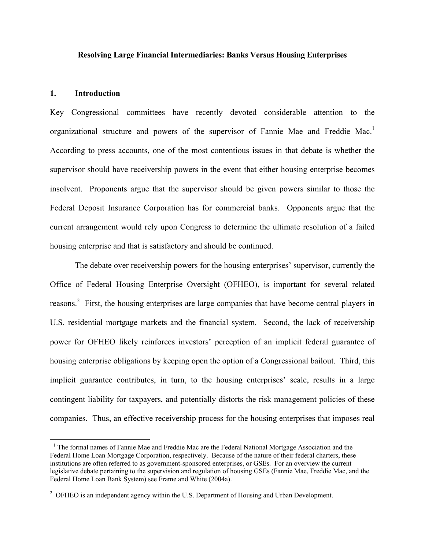#### **Resolving Large Financial Intermediaries: Banks Versus Housing Enterprises**

#### **1. Introduction**

<u>.</u>

Key Congressional committees have recently devoted considerable attention to the organizational structure and powers of the supervisor of Fannie Mae and Freddie Mac.<sup>1</sup> According to press accounts, one of the most contentious issues in that debate is whether the supervisor should have receivership powers in the event that either housing enterprise becomes insolvent. Proponents argue that the supervisor should be given powers similar to those the Federal Deposit Insurance Corporation has for commercial banks. Opponents argue that the current arrangement would rely upon Congress to determine the ultimate resolution of a failed housing enterprise and that is satisfactory and should be continued.

The debate over receivership powers for the housing enterprises' supervisor, currently the Office of Federal Housing Enterprise Oversight (OFHEO), is important for several related reasons.<sup>2</sup> First, the housing enterprises are large companies that have become central players in U.S. residential mortgage markets and the financial system. Second, the lack of receivership power for OFHEO likely reinforces investors' perception of an implicit federal guarantee of housing enterprise obligations by keeping open the option of a Congressional bailout. Third, this implicit guarantee contributes, in turn, to the housing enterprises' scale, results in a large contingent liability for taxpayers, and potentially distorts the risk management policies of these companies. Thus, an effective receivership process for the housing enterprises that imposes real

<sup>&</sup>lt;sup>1</sup> The formal names of Fannie Mae and Freddie Mac are the Federal National Mortgage Association and the Federal Home Loan Mortgage Corporation, respectively. Because of the nature of their federal charters, these institutions are often referred to as government-sponsored enterprises, or GSEs. For an overview the current legislative debate pertaining to the supervision and regulation of housing GSEs (Fannie Mae, Freddie Mac, and the Federal Home Loan Bank System) see Frame and White (2004a).

 $2^{\circ}$  OFHEO is an independent agency within the U.S. Department of Housing and Urban Development.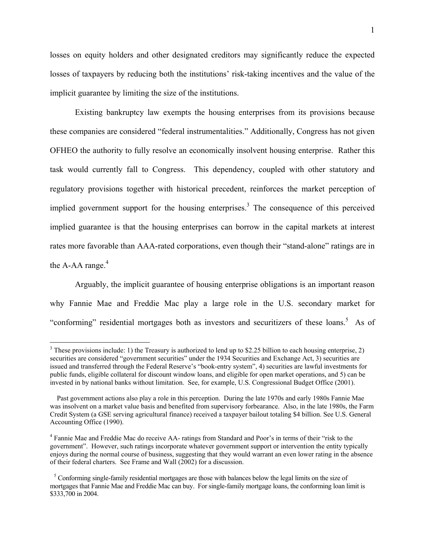losses on equity holders and other designated creditors may significantly reduce the expected losses of taxpayers by reducing both the institutions' risk-taking incentives and the value of the implicit guarantee by limiting the size of the institutions.

Existing bankruptcy law exempts the housing enterprises from its provisions because these companies are considered "federal instrumentalities." Additionally, Congress has not given OFHEO the authority to fully resolve an economically insolvent housing enterprise. Rather this task would currently fall to Congress. This dependency, coupled with other statutory and regulatory provisions together with historical precedent, reinforces the market perception of implied government support for the housing enterprises.<sup>3</sup> The consequence of this perceived implied guarantee is that the housing enterprises can borrow in the capital markets at interest rates more favorable than AAA-rated corporations, even though their "stand-alone" ratings are in the A-AA range. $4$ 

Arguably, the implicit guarantee of housing enterprise obligations is an important reason why Fannie Mae and Freddie Mac play a large role in the U.S. secondary market for "conforming" residential mortgages both as investors and securitizers of these loans.<sup>5</sup> As of

 $3$  These provisions include: 1) the Treasury is authorized to lend up to \$2.25 billion to each housing enterprise, 2) securities are considered "government securities" under the 1934 Securities and Exchange Act, 3) securities are issued and transferred through the Federal Reserve's "book-entry system", 4) securities are lawful investments for public funds, eligible collateral for discount window loans, and eligible for open market operations, and 5) can be invested in by national banks without limitation. See, for example, U.S. Congressional Budget Office (2001).

Past government actions also play a role in this perception. During the late 1970s and early 1980s Fannie Mae was insolvent on a market value basis and benefited from supervisory forbearance. Also, in the late 1980s, the Farm Credit System (a GSE serving agricultural finance) received a taxpayer bailout totaling \$4 billion. See U.S. General Accounting Office (1990).

<sup>&</sup>lt;sup>4</sup> Fannie Mae and Freddie Mac do receive AA- ratings from Standard and Poor's in terms of their "risk to the government". However, such ratings incorporate whatever government support or intervention the entity typically enjoys during the normal course of business, suggesting that they would warrant an even lower rating in the absence of their federal charters. See Frame and Wall (2002) for a discussion.

<sup>&</sup>lt;sup>5</sup> Conforming single-family residential mortgages are those with balances below the legal limits on the size of mortgages that Fannie Mae and Freddie Mac can buy. For single-family mortgage loans, the conforming loan limit is \$333,700 in 2004.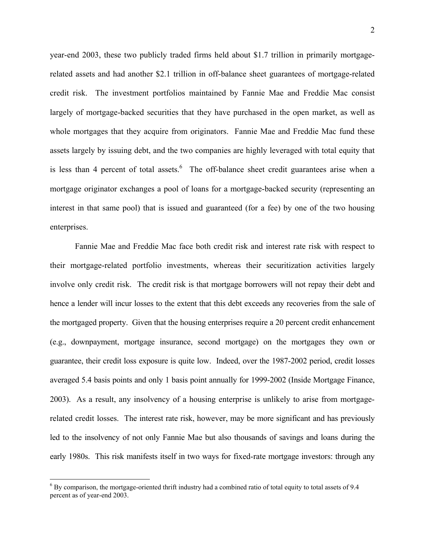year-end 2003, these two publicly traded firms held about \$1.7 trillion in primarily mortgagerelated assets and had another \$2.1 trillion in off-balance sheet guarantees of mortgage-related credit risk. The investment portfolios maintained by Fannie Mae and Freddie Mac consist largely of mortgage-backed securities that they have purchased in the open market, as well as whole mortgages that they acquire from originators. Fannie Mae and Freddie Mac fund these assets largely by issuing debt, and the two companies are highly leveraged with total equity that is less than 4 percent of total assets. $6$  The off-balance sheet credit guarantees arise when a mortgage originator exchanges a pool of loans for a mortgage-backed security (representing an interest in that same pool) that is issued and guaranteed (for a fee) by one of the two housing enterprises.

Fannie Mae and Freddie Mac face both credit risk and interest rate risk with respect to their mortgage-related portfolio investments, whereas their securitization activities largely involve only credit risk. The credit risk is that mortgage borrowers will not repay their debt and hence a lender will incur losses to the extent that this debt exceeds any recoveries from the sale of the mortgaged property. Given that the housing enterprises require a 20 percent credit enhancement (e.g., downpayment, mortgage insurance, second mortgage) on the mortgages they own or guarantee, their credit loss exposure is quite low. Indeed, over the 1987-2002 period, credit losses averaged 5.4 basis points and only 1 basis point annually for 1999-2002 (Inside Mortgage Finance, 2003). As a result, any insolvency of a housing enterprise is unlikely to arise from mortgagerelated credit losses. The interest rate risk, however, may be more significant and has previously led to the insolvency of not only Fannie Mae but also thousands of savings and loans during the early 1980s. This risk manifests itself in two ways for fixed-rate mortgage investors: through any

1

<sup>&</sup>lt;sup>6</sup> By comparison, the mortgage-oriented thrift industry had a combined ratio of total equity to total assets of 9.4 percent as of year-end 2003.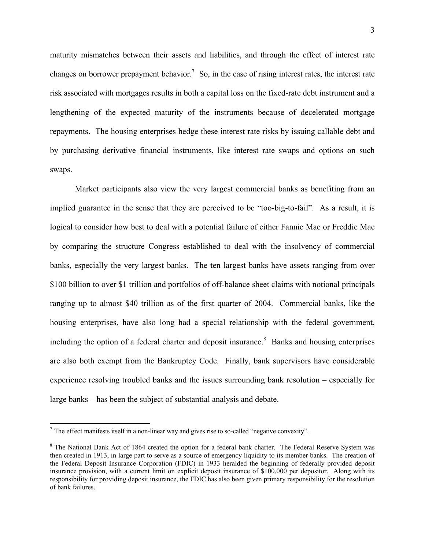maturity mismatches between their assets and liabilities, and through the effect of interest rate changes on borrower prepayment behavior.<sup>7</sup> So, in the case of rising interest rates, the interest rate risk associated with mortgages results in both a capital loss on the fixed-rate debt instrument and a lengthening of the expected maturity of the instruments because of decelerated mortgage repayments. The housing enterprises hedge these interest rate risks by issuing callable debt and by purchasing derivative financial instruments, like interest rate swaps and options on such swaps.

 Market participants also view the very largest commercial banks as benefiting from an implied guarantee in the sense that they are perceived to be "too-big-to-fail". As a result, it is logical to consider how best to deal with a potential failure of either Fannie Mae or Freddie Mac by comparing the structure Congress established to deal with the insolvency of commercial banks, especially the very largest banks. The ten largest banks have assets ranging from over \$100 billion to over \$1 trillion and portfolios of off-balance sheet claims with notional principals ranging up to almost \$40 trillion as of the first quarter of 2004. Commercial banks, like the housing enterprises, have also long had a special relationship with the federal government, including the option of a federal charter and deposit insurance.<sup>8</sup> Banks and housing enterprises are also both exempt from the Bankruptcy Code. Finally, bank supervisors have considerable experience resolving troubled banks and the issues surrounding bank resolution – especially for large banks – has been the subject of substantial analysis and debate.

<sup>&</sup>lt;sup>7</sup> The effect manifests itself in a non-linear way and gives rise to so-called "negative convexity".

<sup>&</sup>lt;sup>8</sup> The National Bank Act of 1864 created the option for a federal bank charter. The Federal Reserve System was then created in 1913, in large part to serve as a source of emergency liquidity to its member banks. The creation of the Federal Deposit Insurance Corporation (FDIC) in 1933 heralded the beginning of federally provided deposit insurance provision, with a current limit on explicit deposit insurance of \$100,000 per depositor. Along with its responsibility for providing deposit insurance, the FDIC has also been given primary responsibility for the resolution of bank failures.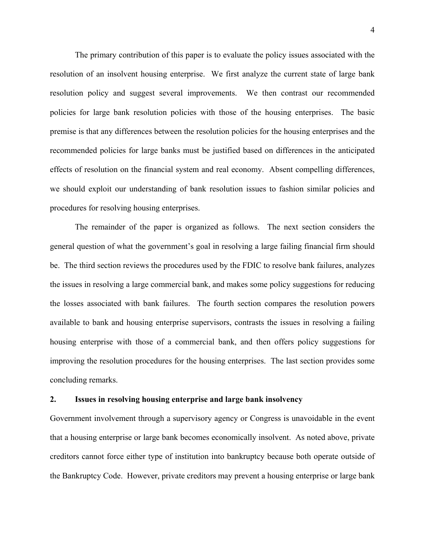The primary contribution of this paper is to evaluate the policy issues associated with the resolution of an insolvent housing enterprise. We first analyze the current state of large bank resolution policy and suggest several improvements. We then contrast our recommended policies for large bank resolution policies with those of the housing enterprises. The basic premise is that any differences between the resolution policies for the housing enterprises and the recommended policies for large banks must be justified based on differences in the anticipated effects of resolution on the financial system and real economy. Absent compelling differences, we should exploit our understanding of bank resolution issues to fashion similar policies and procedures for resolving housing enterprises.

The remainder of the paper is organized as follows. The next section considers the general question of what the government's goal in resolving a large failing financial firm should be. The third section reviews the procedures used by the FDIC to resolve bank failures, analyzes the issues in resolving a large commercial bank, and makes some policy suggestions for reducing the losses associated with bank failures. The fourth section compares the resolution powers available to bank and housing enterprise supervisors, contrasts the issues in resolving a failing housing enterprise with those of a commercial bank, and then offers policy suggestions for improving the resolution procedures for the housing enterprises. The last section provides some concluding remarks.

#### **2. Issues in resolving housing enterprise and large bank insolvency**

Government involvement through a supervisory agency or Congress is unavoidable in the event that a housing enterprise or large bank becomes economically insolvent. As noted above, private creditors cannot force either type of institution into bankruptcy because both operate outside of the Bankruptcy Code. However, private creditors may prevent a housing enterprise or large bank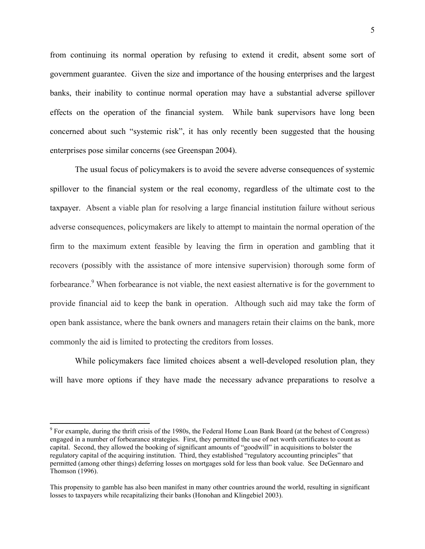from continuing its normal operation by refusing to extend it credit, absent some sort of government guarantee. Given the size and importance of the housing enterprises and the largest banks, their inability to continue normal operation may have a substantial adverse spillover effects on the operation of the financial system. While bank supervisors have long been concerned about such "systemic risk", it has only recently been suggested that the housing enterprises pose similar concerns (see Greenspan 2004).

The usual focus of policymakers is to avoid the severe adverse consequences of systemic spillover to the financial system or the real economy, regardless of the ultimate cost to the taxpayer. Absent a viable plan for resolving a large financial institution failure without serious adverse consequences, policymakers are likely to attempt to maintain the normal operation of the firm to the maximum extent feasible by leaving the firm in operation and gambling that it recovers (possibly with the assistance of more intensive supervision) thorough some form of forbearance.<sup>9</sup> When forbearance is not viable, the next easiest alternative is for the government to provide financial aid to keep the bank in operation. Although such aid may take the form of open bank assistance, where the bank owners and managers retain their claims on the bank, more commonly the aid is limited to protecting the creditors from losses.

While policymakers face limited choices absent a well-developed resolution plan, they will have more options if they have made the necessary advance preparations to resolve a

 $9^9$  For example, during the thrift crisis of the 1980s, the Federal Home Loan Bank Board (at the behest of Congress) engaged in a number of forbearance strategies. First, they permitted the use of net worth certificates to count as capital. Second, they allowed the booking of significant amounts of "goodwill" in acquisitions to bolster the regulatory capital of the acquiring institution. Third, they established "regulatory accounting principles" that permitted (among other things) deferring losses on mortgages sold for less than book value. See DeGennaro and Thomson (1996).

This propensity to gamble has also been manifest in many other countries around the world, resulting in significant losses to taxpayers while recapitalizing their banks (Honohan and Klingebiel 2003).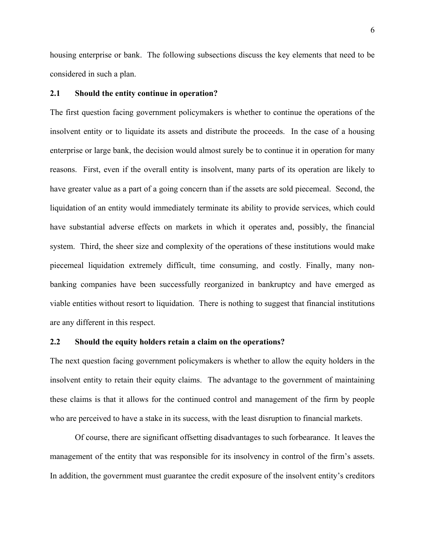housing enterprise or bank. The following subsections discuss the key elements that need to be considered in such a plan.

#### **2.1 Should the entity continue in operation?**

The first question facing government policymakers is whether to continue the operations of the insolvent entity or to liquidate its assets and distribute the proceeds. In the case of a housing enterprise or large bank, the decision would almost surely be to continue it in operation for many reasons. First, even if the overall entity is insolvent, many parts of its operation are likely to have greater value as a part of a going concern than if the assets are sold piecemeal. Second, the liquidation of an entity would immediately terminate its ability to provide services, which could have substantial adverse effects on markets in which it operates and, possibly, the financial system. Third, the sheer size and complexity of the operations of these institutions would make piecemeal liquidation extremely difficult, time consuming, and costly. Finally, many nonbanking companies have been successfully reorganized in bankruptcy and have emerged as viable entities without resort to liquidation. There is nothing to suggest that financial institutions are any different in this respect.

#### **2.2 Should the equity holders retain a claim on the operations?**

The next question facing government policymakers is whether to allow the equity holders in the insolvent entity to retain their equity claims. The advantage to the government of maintaining these claims is that it allows for the continued control and management of the firm by people who are perceived to have a stake in its success, with the least disruption to financial markets.

Of course, there are significant offsetting disadvantages to such forbearance. It leaves the management of the entity that was responsible for its insolvency in control of the firm's assets. In addition, the government must guarantee the credit exposure of the insolvent entity's creditors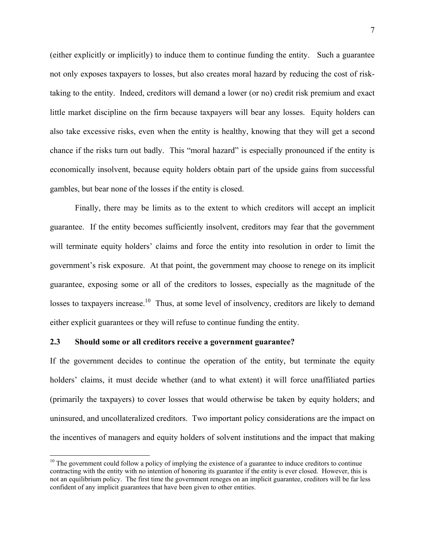(either explicitly or implicitly) to induce them to continue funding the entity. Such a guarantee not only exposes taxpayers to losses, but also creates moral hazard by reducing the cost of risktaking to the entity. Indeed, creditors will demand a lower (or no) credit risk premium and exact little market discipline on the firm because taxpayers will bear any losses. Equity holders can also take excessive risks, even when the entity is healthy, knowing that they will get a second chance if the risks turn out badly. This "moral hazard" is especially pronounced if the entity is economically insolvent, because equity holders obtain part of the upside gains from successful gambles, but bear none of the losses if the entity is closed.

Finally, there may be limits as to the extent to which creditors will accept an implicit guarantee. If the entity becomes sufficiently insolvent, creditors may fear that the government will terminate equity holders' claims and force the entity into resolution in order to limit the government's risk exposure. At that point, the government may choose to renege on its implicit guarantee, exposing some or all of the creditors to losses, especially as the magnitude of the losses to taxpayers increase.<sup>10</sup> Thus, at some level of insolvency, creditors are likely to demand either explicit guarantees or they will refuse to continue funding the entity.

#### **2.3 Should some or all creditors receive a government guarantee?**

 $\overline{a}$ 

If the government decides to continue the operation of the entity, but terminate the equity holders' claims, it must decide whether (and to what extent) it will force unaffiliated parties (primarily the taxpayers) to cover losses that would otherwise be taken by equity holders; and uninsured, and uncollateralized creditors. Two important policy considerations are the impact on the incentives of managers and equity holders of solvent institutions and the impact that making

 $10$  The government could follow a policy of implying the existence of a guarantee to induce creditors to continue contracting with the entity with no intention of honoring its guarantee if the entity is ever closed. However, this is not an equilibrium policy. The first time the government reneges on an implicit guarantee, creditors will be far less confident of any implicit guarantees that have been given to other entities.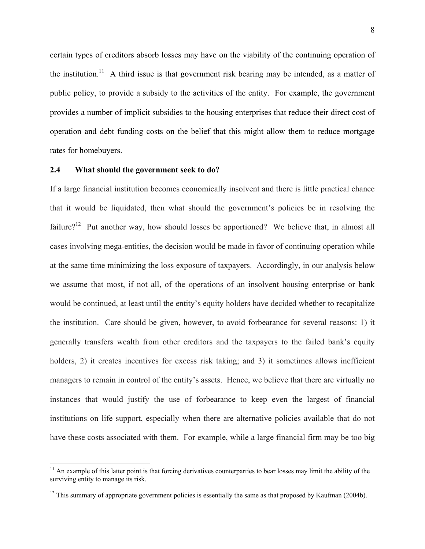certain types of creditors absorb losses may have on the viability of the continuing operation of the institution.<sup>11</sup> A third issue is that government risk bearing may be intended, as a matter of public policy, to provide a subsidy to the activities of the entity. For example, the government provides a number of implicit subsidies to the housing enterprises that reduce their direct cost of operation and debt funding costs on the belief that this might allow them to reduce mortgage rates for homebuyers.

#### **2.4 What should the government seek to do?**

 $\overline{a}$ 

If a large financial institution becomes economically insolvent and there is little practical chance that it would be liquidated, then what should the government's policies be in resolving the failure?<sup>12</sup> Put another way, how should losses be apportioned? We believe that, in almost all cases involving mega-entities, the decision would be made in favor of continuing operation while at the same time minimizing the loss exposure of taxpayers. Accordingly, in our analysis below we assume that most, if not all, of the operations of an insolvent housing enterprise or bank would be continued, at least until the entity's equity holders have decided whether to recapitalize the institution. Care should be given, however, to avoid forbearance for several reasons: 1) it generally transfers wealth from other creditors and the taxpayers to the failed bank's equity holders, 2) it creates incentives for excess risk taking; and 3) it sometimes allows inefficient managers to remain in control of the entity's assets. Hence, we believe that there are virtually no instances that would justify the use of forbearance to keep even the largest of financial institutions on life support, especially when there are alternative policies available that do not have these costs associated with them.For example, while a large financial firm may be too big

 $11$  An example of this latter point is that forcing derivatives counterparties to bear losses may limit the ability of the surviving entity to manage its risk.

 $12$  This summary of appropriate government policies is essentially the same as that proposed by Kaufman (2004b).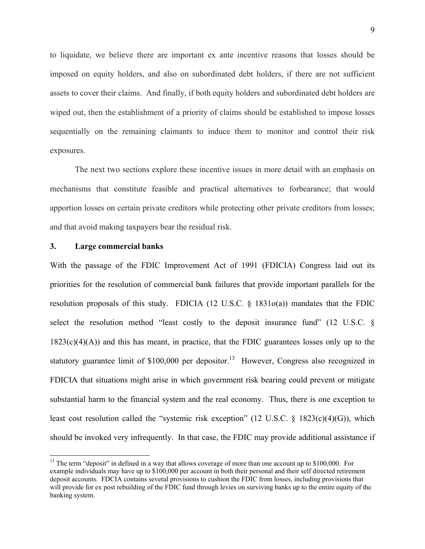to liquidate, we believe there are important ex ante incentive reasons that losses should be imposed on equity holders, and also on subordinated debt holders, if there are not sufficient assets to cover their claims. And finally, if both equity holders and subordinated debt holders are wiped out, then the establishment of a priority of claims should be established to impose losses sequentially on the remaining claimants to induce them to monitor and control their risk exposures.

The next two sections explore these incentive issues in more detail with an emphasis on mechanisms that constitute feasible and practical alternatives to forbearance; that would apportion losses on certain private creditors while protecting other private creditors from losses; and that avoid making taxpayers bear the residual risk.

#### **3. Large commercial banks**

 $\overline{a}$ 

With the passage of the FDIC Improvement Act of 1991 (FDICIA) Congress laid out its priorities for the resolution of commercial bank failures that provide important parallels for the resolution proposals of this study. FDICIA (12 U.S.C. § 1831o(a)) mandates that the FDIC select the resolution method "least costly to the deposit insurance fund" (12 U.S.C. §  $1823(c)(4)(A)$  and this has meant, in practice, that the FDIC guarantees losses only up to the statutory guarantee limit of  $$100,000$  per depositor.<sup>13</sup> However, Congress also recognized in FDICIA that situations might arise in which government risk bearing could prevent or mitigate substantial harm to the financial system and the real economy. Thus, there is one exception to least cost resolution called the "systemic risk exception" (12 U.S.C. § 1823(c)(4)(G)), which should be invoked very infrequently. In that case, the FDIC may provide additional assistance if

<sup>&</sup>lt;sup>13</sup> The term "deposit" in defined in a way that allows coverage of more than one account up to \$100,000. For example individuals may have up to \$100,000 per account in both their personal and their self directed retirement deposit accounts. FDCIA contains several provisions to cushion the FDIC from losses, including provisions that will provide for ex post rebuilding of the FDIC fund through levies on surviving banks up to the entire equity of the banking system.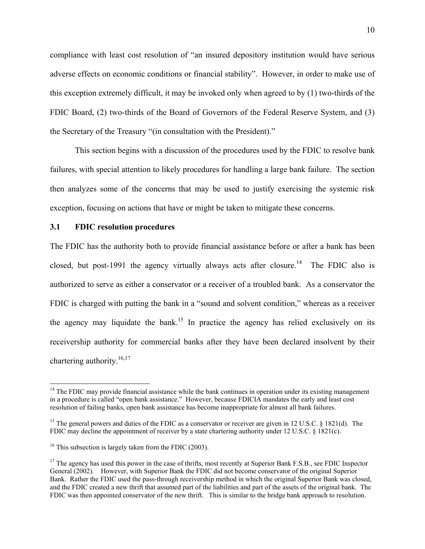compliance with least cost resolution of "an insured depository institution would have serious adverse effects on economic conditions or financial stability". However, in order to make use of this exception extremely difficult, it may be invoked only when agreed to by (1) two-thirds of the FDIC Board, (2) two-thirds of the Board of Governors of the Federal Reserve System, and (3) the Secretary of the Treasury "(in consultation with the President)."

This section begins with a discussion of the procedures used by the FDIC to resolve bank failures, with special attention to likely procedures for handling a large bank failure. The section then analyzes some of the concerns that may be used to justify exercising the systemic risk exception, focusing on actions that have or might be taken to mitigate these concerns.

#### **3.1 FDIC resolution procedures**

The FDIC has the authority both to provide financial assistance before or after a bank has been closed, but post-1991 the agency virtually always acts after closure.<sup>14</sup> The FDIC also is authorized to serve as either a conservator or a receiver of a troubled bank. As a conservator the FDIC is charged with putting the bank in a "sound and solvent condition," whereas as a receiver the agency may liquidate the bank.<sup>15</sup> In practice the agency has relied exclusively on its receivership authority for commercial banks after they have been declared insolvent by their chartering authority.<sup>16,17</sup>

1

 $14$  The FDIC may provide financial assistance while the bank continues in operation under its existing management in a procedure is called "open bank assistance." However, because FDICIA mandates the early and least cost resolution of failing banks, open bank assistance has become inappropriate for almost all bank failures.

<sup>&</sup>lt;sup>15</sup> The general powers and duties of the FDIC as a conservator or receiver are given in 12 U.S.C. § 1821(d). The FDIC may decline the appointment of receiver by a state chartering authority under 12 U.S.C. § 1821(c).

<sup>&</sup>lt;sup>16</sup> This subsection is largely taken from the FDIC  $(2003)$ .

<sup>&</sup>lt;sup>17</sup> The agency has used this power in the case of thrifts, most recently at Superior Bank F.S.B., see FDIC Inspector General (2002). However, with Superior Bank the FDIC did not become conservator of the original Superior Bank. Rather the FDIC used the pass-through receivership method in which the original Superior Bank was closed, and the FDIC created a new thrift that assumed part of the liabilities and part of the assets of the original bank. The FDIC was then appointed conservator of the new thrift. This is similar to the bridge bank approach to resolution.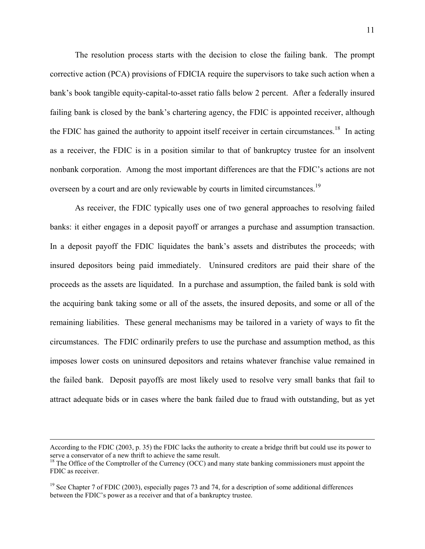The resolution process starts with the decision to close the failing bank. The prompt corrective action (PCA) provisions of FDICIA require the supervisors to take such action when a bank's book tangible equity-capital-to-asset ratio falls below 2 percent. After a federally insured failing bank is closed by the bank's chartering agency, the FDIC is appointed receiver, although the FDIC has gained the authority to appoint itself receiver in certain circumstances.<sup>18</sup> In acting as a receiver, the FDIC is in a position similar to that of bankruptcy trustee for an insolvent nonbank corporation. Among the most important differences are that the FDIC's actions are not overseen by a court and are only reviewable by courts in limited circumstances.<sup>19</sup>

 As receiver, the FDIC typically uses one of two general approaches to resolving failed banks: it either engages in a deposit payoff or arranges a purchase and assumption transaction. In a deposit payoff the FDIC liquidates the bank's assets and distributes the proceeds; with insured depositors being paid immediately. Uninsured creditors are paid their share of the proceeds as the assets are liquidated. In a purchase and assumption, the failed bank is sold with the acquiring bank taking some or all of the assets, the insured deposits, and some or all of the remaining liabilities. These general mechanisms may be tailored in a variety of ways to fit the circumstances. The FDIC ordinarily prefers to use the purchase and assumption method, as this imposes lower costs on uninsured depositors and retains whatever franchise value remained in the failed bank. Deposit payoffs are most likely used to resolve very small banks that fail to attract adequate bids or in cases where the bank failed due to fraud with outstanding, but as yet

According to the FDIC (2003, p. 35) the FDIC lacks the authority to create a bridge thrift but could use its power to serve a conservator of a new thrift to achieve the same result.

<sup>&</sup>lt;sup>18</sup> The Office of the Comptroller of the Currency (OCC) and many state banking commissioners must appoint the FDIC as receiver.

<sup>&</sup>lt;sup>19</sup> See Chapter 7 of FDIC (2003), especially pages 73 and 74, for a description of some additional differences between the FDIC's power as a receiver and that of a bankruptcy trustee.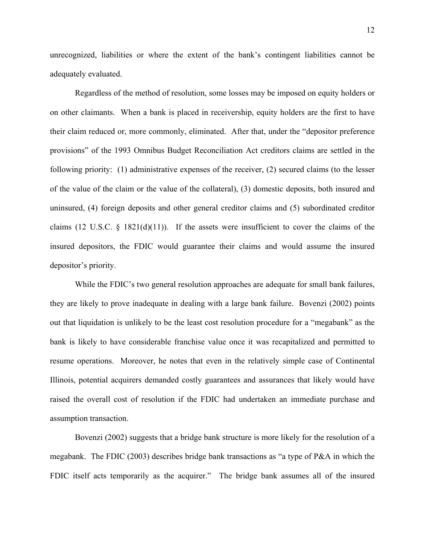unrecognized, liabilities or where the extent of the bank's contingent liabilities cannot be adequately evaluated.

Regardless of the method of resolution, some losses may be imposed on equity holders or on other claimants. When a bank is placed in receivership, equity holders are the first to have their claim reduced or, more commonly, eliminated. After that, under the "depositor preference provisions" of the 1993 Omnibus Budget Reconciliation Act creditors claims are settled in the following priority: (1) administrative expenses of the receiver, (2) secured claims (to the lesser of the value of the claim or the value of the collateral), (3) domestic deposits, both insured and uninsured, (4) foreign deposits and other general creditor claims and (5) subordinated creditor claims (12 U.S.C. § 1821(d)(11)). If the assets were insufficient to cover the claims of the insured depositors, the FDIC would guarantee their claims and would assume the insured depositor's priority.

 While the FDIC's two general resolution approaches are adequate for small bank failures, they are likely to prove inadequate in dealing with a large bank failure. Bovenzi (2002) points out that liquidation is unlikely to be the least cost resolution procedure for a "megabank" as the bank is likely to have considerable franchise value once it was recapitalized and permitted to resume operations. Moreover, he notes that even in the relatively simple case of Continental Illinois, potential acquirers demanded costly guarantees and assurances that likely would have raised the overall cost of resolution if the FDIC had undertaken an immediate purchase and assumption transaction.

Bovenzi (2002) suggests that a bridge bank structure is more likely for the resolution of a megabank. The FDIC (2003) describes bridge bank transactions as "a type of P&A in which the FDIC itself acts temporarily as the acquirer." The bridge bank assumes all of the insured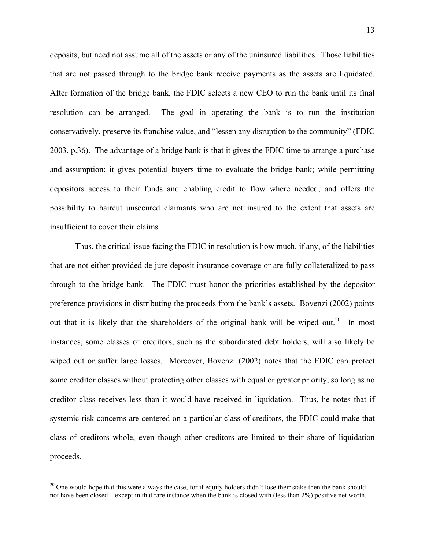deposits, but need not assume all of the assets or any of the uninsured liabilities. Those liabilities that are not passed through to the bridge bank receive payments as the assets are liquidated. After formation of the bridge bank, the FDIC selects a new CEO to run the bank until its final resolution can be arranged. The goal in operating the bank is to run the institution conservatively, preserve its franchise value, and "lessen any disruption to the community" (FDIC 2003, p.36). The advantage of a bridge bank is that it gives the FDIC time to arrange a purchase and assumption; it gives potential buyers time to evaluate the bridge bank; while permitting depositors access to their funds and enabling credit to flow where needed; and offers the possibility to haircut unsecured claimants who are not insured to the extent that assets are insufficient to cover their claims.

 Thus, the critical issue facing the FDIC in resolution is how much, if any, of the liabilities that are not either provided de jure deposit insurance coverage or are fully collateralized to pass through to the bridge bank. The FDIC must honor the priorities established by the depositor preference provisions in distributing the proceeds from the bank's assets. Bovenzi (2002) points out that it is likely that the shareholders of the original bank will be wiped out.<sup>20</sup> In most instances, some classes of creditors, such as the subordinated debt holders, will also likely be wiped out or suffer large losses. Moreover, Bovenzi (2002) notes that the FDIC can protect some creditor classes without protecting other classes with equal or greater priority, so long as no creditor class receives less than it would have received in liquidation. Thus, he notes that if systemic risk concerns are centered on a particular class of creditors, the FDIC could make that class of creditors whole, even though other creditors are limited to their share of liquidation proceeds.

1

 $20$  One would hope that this were always the case, for if equity holders didn't lose their stake then the bank should not have been closed – except in that rare instance when the bank is closed with (less than 2%) positive net worth.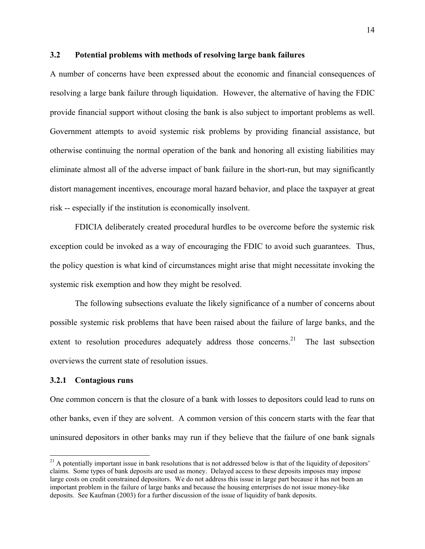#### **3.2 Potential problems with methods of resolving large bank failures**

A number of concerns have been expressed about the economic and financial consequences of resolving a large bank failure through liquidation. However, the alternative of having the FDIC provide financial support without closing the bank is also subject to important problems as well. Government attempts to avoid systemic risk problems by providing financial assistance, but otherwise continuing the normal operation of the bank and honoring all existing liabilities may eliminate almost all of the adverse impact of bank failure in the short-run, but may significantly distort management incentives, encourage moral hazard behavior, and place the taxpayer at great risk -- especially if the institution is economically insolvent.

 FDICIA deliberately created procedural hurdles to be overcome before the systemic risk exception could be invoked as a way of encouraging the FDIC to avoid such guarantees. Thus, the policy question is what kind of circumstances might arise that might necessitate invoking the systemic risk exemption and how they might be resolved.

 The following subsections evaluate the likely significance of a number of concerns about possible systemic risk problems that have been raised about the failure of large banks, and the extent to resolution procedures adequately address those concerns.<sup>21</sup> The last subsection overviews the current state of resolution issues.

#### **3.2.1 Contagious runs**

1

One common concern is that the closure of a bank with losses to depositors could lead to runs on other banks, even if they are solvent. A common version of this concern starts with the fear that uninsured depositors in other banks may run if they believe that the failure of one bank signals

 $21$  A potentially important issue in bank resolutions that is not addressed below is that of the liquidity of depositors' claims. Some types of bank deposits are used as money. Delayed access to these deposits imposes may impose large costs on credit constrained depositors. We do not address this issue in large part because it has not been an important problem in the failure of large banks and because the housing enterprises do not issue money-like deposits. See Kaufman (2003) for a further discussion of the issue of liquidity of bank deposits.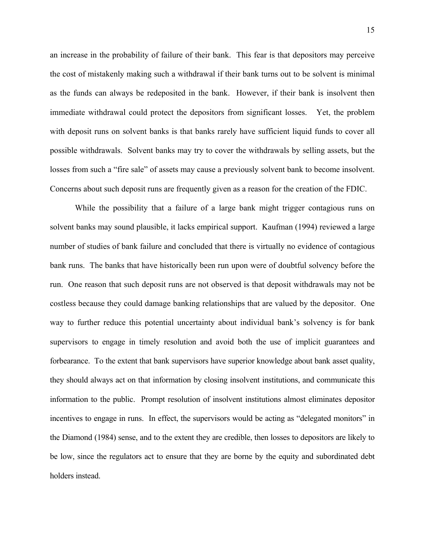an increase in the probability of failure of their bank. This fear is that depositors may perceive the cost of mistakenly making such a withdrawal if their bank turns out to be solvent is minimal as the funds can always be redeposited in the bank. However, if their bank is insolvent then immediate withdrawal could protect the depositors from significant losses. Yet, the problem with deposit runs on solvent banks is that banks rarely have sufficient liquid funds to cover all possible withdrawals. Solvent banks may try to cover the withdrawals by selling assets, but the losses from such a "fire sale" of assets may cause a previously solvent bank to become insolvent. Concerns about such deposit runs are frequently given as a reason for the creation of the FDIC.

While the possibility that a failure of a large bank might trigger contagious runs on solvent banks may sound plausible, it lacks empirical support. Kaufman (1994) reviewed a large number of studies of bank failure and concluded that there is virtually no evidence of contagious bank runs. The banks that have historically been run upon were of doubtful solvency before the run. One reason that such deposit runs are not observed is that deposit withdrawals may not be costless because they could damage banking relationships that are valued by the depositor. One way to further reduce this potential uncertainty about individual bank's solvency is for bank supervisors to engage in timely resolution and avoid both the use of implicit guarantees and forbearance. To the extent that bank supervisors have superior knowledge about bank asset quality, they should always act on that information by closing insolvent institutions, and communicate this information to the public. Prompt resolution of insolvent institutions almost eliminates depositor incentives to engage in runs. In effect, the supervisors would be acting as "delegated monitors" in the Diamond (1984) sense, and to the extent they are credible, then losses to depositors are likely to be low, since the regulators act to ensure that they are borne by the equity and subordinated debt holders instead.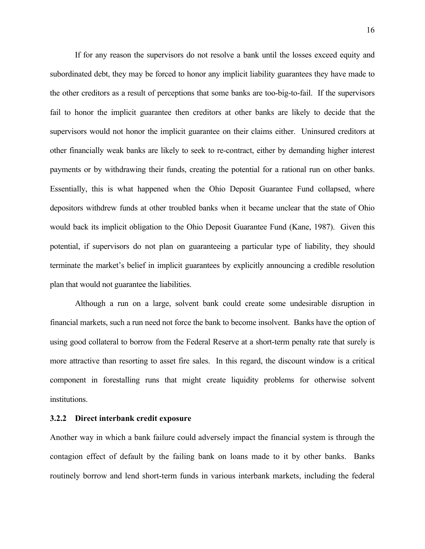If for any reason the supervisors do not resolve a bank until the losses exceed equity and subordinated debt, they may be forced to honor any implicit liability guarantees they have made to the other creditors as a result of perceptions that some banks are too-big-to-fail. If the supervisors fail to honor the implicit guarantee then creditors at other banks are likely to decide that the supervisors would not honor the implicit guarantee on their claims either. Uninsured creditors at other financially weak banks are likely to seek to re-contract, either by demanding higher interest payments or by withdrawing their funds, creating the potential for a rational run on other banks. Essentially, this is what happened when the Ohio Deposit Guarantee Fund collapsed, where depositors withdrew funds at other troubled banks when it became unclear that the state of Ohio would back its implicit obligation to the Ohio Deposit Guarantee Fund (Kane, 1987). Given this potential, if supervisors do not plan on guaranteeing a particular type of liability, they should terminate the market's belief in implicit guarantees by explicitly announcing a credible resolution plan that would not guarantee the liabilities.

Although a run on a large, solvent bank could create some undesirable disruption in financial markets, such a run need not force the bank to become insolvent. Banks have the option of using good collateral to borrow from the Federal Reserve at a short-term penalty rate that surely is more attractive than resorting to asset fire sales. In this regard, the discount window is a critical component in forestalling runs that might create liquidity problems for otherwise solvent institutions.

#### **3.2.2 Direct interbank credit exposure**

Another way in which a bank failure could adversely impact the financial system is through the contagion effect of default by the failing bank on loans made to it by other banks. Banks routinely borrow and lend short-term funds in various interbank markets, including the federal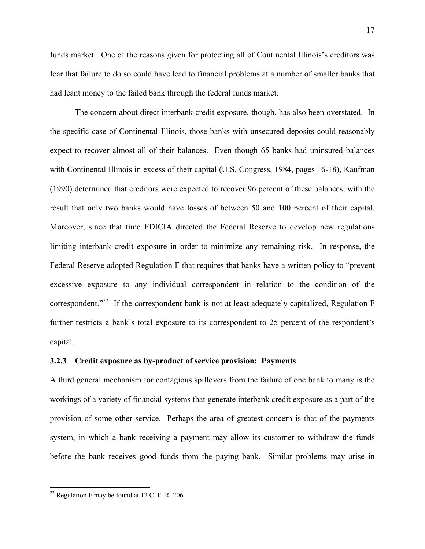funds market. One of the reasons given for protecting all of Continental Illinois's creditors was fear that failure to do so could have lead to financial problems at a number of smaller banks that had leant money to the failed bank through the federal funds market.

The concern about direct interbank credit exposure, though, has also been overstated. In the specific case of Continental Illinois, those banks with unsecured deposits could reasonably expect to recover almost all of their balances. Even though 65 banks had uninsured balances with Continental Illinois in excess of their capital (U.S. Congress, 1984, pages 16-18), Kaufman (1990) determined that creditors were expected to recover 96 percent of these balances, with the result that only two banks would have losses of between 50 and 100 percent of their capital. Moreover, since that time FDICIA directed the Federal Reserve to develop new regulations limiting interbank credit exposure in order to minimize any remaining risk. In response, the Federal Reserve adopted Regulation F that requires that banks have a written policy to "prevent excessive exposure to any individual correspondent in relation to the condition of the correspondent."<sup>22</sup> If the correspondent bank is not at least adequately capitalized, Regulation F further restricts a bank's total exposure to its correspondent to 25 percent of the respondent's capital.

#### **3.2.3 Credit exposure as by-product of service provision: Payments**

A third general mechanism for contagious spillovers from the failure of one bank to many is the workings of a variety of financial systems that generate interbank credit exposure as a part of the provision of some other service. Perhaps the area of greatest concern is that of the payments system, in which a bank receiving a payment may allow its customer to withdraw the funds before the bank receives good funds from the paying bank. Similar problems may arise in

 $22$  Regulation F may be found at 12 C. F. R. 206.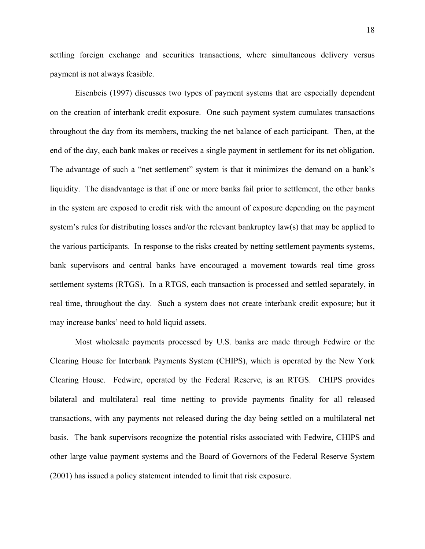settling foreign exchange and securities transactions, where simultaneous delivery versus payment is not always feasible.

 Eisenbeis (1997) discusses two types of payment systems that are especially dependent on the creation of interbank credit exposure. One such payment system cumulates transactions throughout the day from its members, tracking the net balance of each participant. Then, at the end of the day, each bank makes or receives a single payment in settlement for its net obligation. The advantage of such a "net settlement" system is that it minimizes the demand on a bank's liquidity. The disadvantage is that if one or more banks fail prior to settlement, the other banks in the system are exposed to credit risk with the amount of exposure depending on the payment system's rules for distributing losses and/or the relevant bankruptcy law(s) that may be applied to the various participants. In response to the risks created by netting settlement payments systems, bank supervisors and central banks have encouraged a movement towards real time gross settlement systems (RTGS). In a RTGS, each transaction is processed and settled separately, in real time, throughout the day. Such a system does not create interbank credit exposure; but it may increase banks' need to hold liquid assets.

 Most wholesale payments processed by U.S. banks are made through Fedwire or the Clearing House for Interbank Payments System (CHIPS), which is operated by the New York Clearing House. Fedwire, operated by the Federal Reserve, is an RTGS. CHIPS provides bilateral and multilateral real time netting to provide payments finality for all released transactions, with any payments not released during the day being settled on a multilateral net basis. The bank supervisors recognize the potential risks associated with Fedwire, CHIPS and other large value payment systems and the Board of Governors of the Federal Reserve System (2001) has issued a policy statement intended to limit that risk exposure.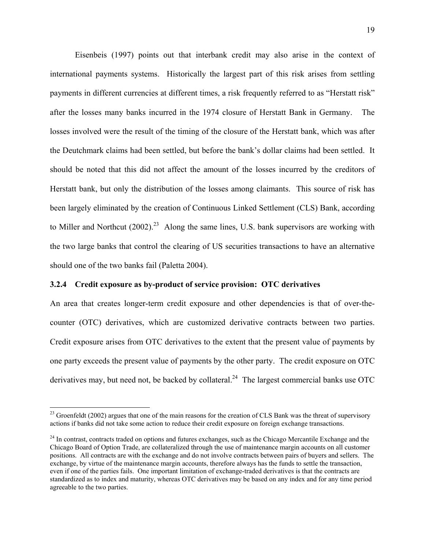Eisenbeis (1997) points out that interbank credit may also arise in the context of international payments systems. Historically the largest part of this risk arises from settling payments in different currencies at different times, a risk frequently referred to as "Herstatt risk" after the losses many banks incurred in the 1974 closure of Herstatt Bank in Germany. The losses involved were the result of the timing of the closure of the Herstatt bank, which was after the Deutchmark claims had been settled, but before the bank's dollar claims had been settled. It should be noted that this did not affect the amount of the losses incurred by the creditors of Herstatt bank, but only the distribution of the losses among claimants. This source of risk has been largely eliminated by the creation of Continuous Linked Settlement (CLS) Bank, according to Miller and Northcut (2002).<sup>23</sup> Along the same lines, U.S. bank supervisors are working with the two large banks that control the clearing of US securities transactions to have an alternative should one of the two banks fail (Paletta 2004).

#### **3.2.4 Credit exposure as by-product of service provision: OTC derivatives**

 $\overline{a}$ 

An area that creates longer-term credit exposure and other dependencies is that of over-thecounter (OTC) derivatives, which are customized derivative contracts between two parties. Credit exposure arises from OTC derivatives to the extent that the present value of payments by one party exceeds the present value of payments by the other party. The credit exposure on OTC derivatives may, but need not, be backed by collateral.<sup>24</sup> The largest commercial banks use OTC

<sup>&</sup>lt;sup>23</sup> Groenfeldt (2002) argues that one of the main reasons for the creation of CLS Bank was the threat of supervisory actions if banks did not take some action to reduce their credit exposure on foreign exchange transactions.

<sup>&</sup>lt;sup>24</sup> In contrast, contracts traded on options and futures exchanges, such as the Chicago Mercantile Exchange and the Chicago Board of Option Trade, are collateralized through the use of maintenance margin accounts on all customer positions. All contracts are with the exchange and do not involve contracts between pairs of buyers and sellers. The exchange, by virtue of the maintenance margin accounts, therefore always has the funds to settle the transaction, even if one of the parties fails. One important limitation of exchange-traded derivatives is that the contracts are standardized as to index and maturity, whereas OTC derivatives may be based on any index and for any time period agreeable to the two parties.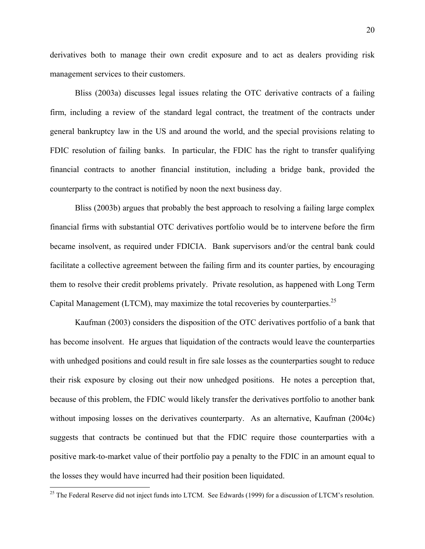derivatives both to manage their own credit exposure and to act as dealers providing risk management services to their customers.

Bliss (2003a) discusses legal issues relating the OTC derivative contracts of a failing firm, including a review of the standard legal contract, the treatment of the contracts under general bankruptcy law in the US and around the world, and the special provisions relating to FDIC resolution of failing banks. In particular, the FDIC has the right to transfer qualifying financial contracts to another financial institution, including a bridge bank, provided the counterparty to the contract is notified by noon the next business day.

Bliss (2003b) argues that probably the best approach to resolving a failing large complex financial firms with substantial OTC derivatives portfolio would be to intervene before the firm became insolvent, as required under FDICIA. Bank supervisors and/or the central bank could facilitate a collective agreement between the failing firm and its counter parties, by encouraging them to resolve their credit problems privately. Private resolution, as happened with Long Term Capital Management (LTCM), may maximize the total recoveries by counterparties.<sup>25</sup>

Kaufman (2003) considers the disposition of the OTC derivatives portfolio of a bank that has become insolvent. He argues that liquidation of the contracts would leave the counterparties with unhedged positions and could result in fire sale losses as the counterparties sought to reduce their risk exposure by closing out their now unhedged positions. He notes a perception that, because of this problem, the FDIC would likely transfer the derivatives portfolio to another bank without imposing losses on the derivatives counterparty. As an alternative, Kaufman (2004c) suggests that contracts be continued but that the FDIC require those counterparties with a positive mark-to-market value of their portfolio pay a penalty to the FDIC in an amount equal to the losses they would have incurred had their position been liquidated.

<u>.</u>

<sup>&</sup>lt;sup>25</sup> The Federal Reserve did not inject funds into LTCM. See Edwards (1999) for a discussion of LTCM's resolution.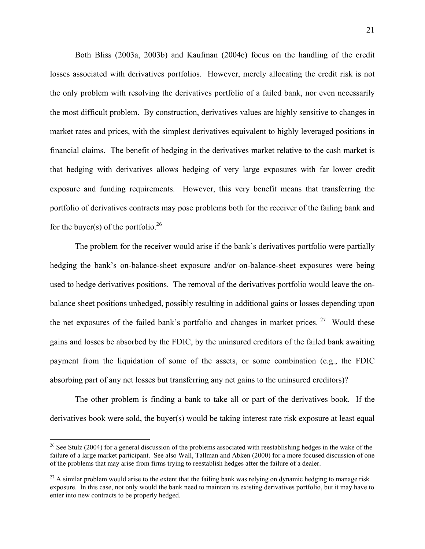Both Bliss (2003a, 2003b) and Kaufman (2004c) focus on the handling of the credit losses associated with derivatives portfolios. However, merely allocating the credit risk is not the only problem with resolving the derivatives portfolio of a failed bank, nor even necessarily the most difficult problem. By construction, derivatives values are highly sensitive to changes in market rates and prices, with the simplest derivatives equivalent to highly leveraged positions in financial claims. The benefit of hedging in the derivatives market relative to the cash market is that hedging with derivatives allows hedging of very large exposures with far lower credit exposure and funding requirements. However, this very benefit means that transferring the portfolio of derivatives contracts may pose problems both for the receiver of the failing bank and for the buyer(s) of the portfolio.<sup>26</sup>

The problem for the receiver would arise if the bank's derivatives portfolio were partially hedging the bank's on-balance-sheet exposure and/or on-balance-sheet exposures were being used to hedge derivatives positions. The removal of the derivatives portfolio would leave the onbalance sheet positions unhedged, possibly resulting in additional gains or losses depending upon the net exposures of the failed bank's portfolio and changes in market prices.  $27$  Would these gains and losses be absorbed by the FDIC, by the uninsured creditors of the failed bank awaiting payment from the liquidation of some of the assets, or some combination (e.g., the FDIC absorbing part of any net losses but transferring any net gains to the uninsured creditors)?

The other problem is finding a bank to take all or part of the derivatives book. If the derivatives book were sold, the buyer(s) would be taking interest rate risk exposure at least equal

<sup>&</sup>lt;sup>26</sup> See Stulz (2004) for a general discussion of the problems associated with reestablishing hedges in the wake of the failure of a large market participant. See also Wall, Tallman and Abken (2000) for a more focused discussion of one of the problems that may arise from firms trying to reestablish hedges after the failure of a dealer.

 $^{27}$  A similar problem would arise to the extent that the failing bank was relying on dynamic hedging to manage risk exposure. In this case, not only would the bank need to maintain its existing derivatives portfolio, but it may have to enter into new contracts to be properly hedged.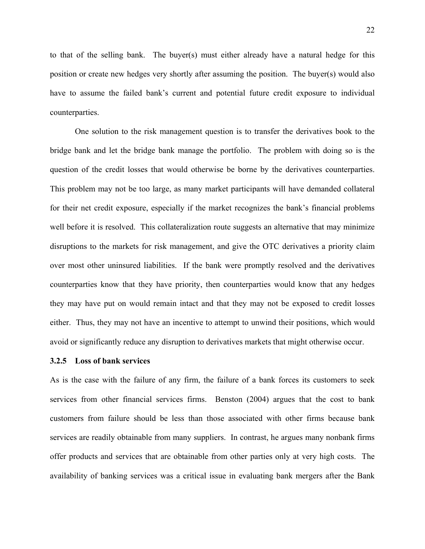to that of the selling bank. The buyer(s) must either already have a natural hedge for this position or create new hedges very shortly after assuming the position. The buyer(s) would also have to assume the failed bank's current and potential future credit exposure to individual counterparties.

One solution to the risk management question is to transfer the derivatives book to the bridge bank and let the bridge bank manage the portfolio. The problem with doing so is the question of the credit losses that would otherwise be borne by the derivatives counterparties. This problem may not be too large, as many market participants will have demanded collateral for their net credit exposure, especially if the market recognizes the bank's financial problems well before it is resolved. This collateralization route suggests an alternative that may minimize disruptions to the markets for risk management, and give the OTC derivatives a priority claim over most other uninsured liabilities. If the bank were promptly resolved and the derivatives counterparties know that they have priority, then counterparties would know that any hedges they may have put on would remain intact and that they may not be exposed to credit losses either. Thus, they may not have an incentive to attempt to unwind their positions, which would avoid or significantly reduce any disruption to derivatives markets that might otherwise occur.

#### **3.2.5 Loss of bank services**

As is the case with the failure of any firm, the failure of a bank forces its customers to seek services from other financial services firms. Benston (2004) argues that the cost to bank customers from failure should be less than those associated with other firms because bank services are readily obtainable from many suppliers. In contrast, he argues many nonbank firms offer products and services that are obtainable from other parties only at very high costs. The availability of banking services was a critical issue in evaluating bank mergers after the Bank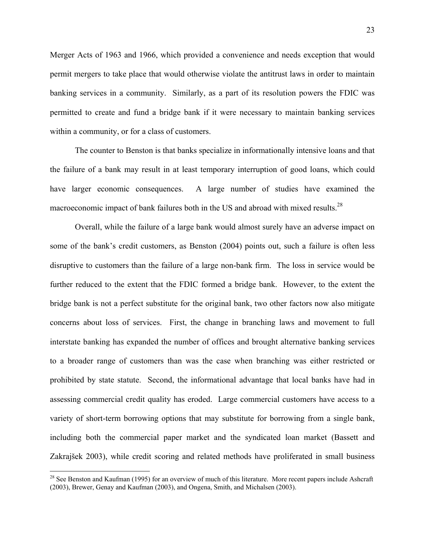Merger Acts of 1963 and 1966, which provided a convenience and needs exception that would permit mergers to take place that would otherwise violate the antitrust laws in order to maintain banking services in a community. Similarly, as a part of its resolution powers the FDIC was permitted to create and fund a bridge bank if it were necessary to maintain banking services within a community, or for a class of customers.

The counter to Benston is that banks specialize in informationally intensive loans and that the failure of a bank may result in at least temporary interruption of good loans, which could have larger economic consequences. A large number of studies have examined the macroeconomic impact of bank failures both in the US and abroad with mixed results.<sup>28</sup>

 Overall, while the failure of a large bank would almost surely have an adverse impact on some of the bank's credit customers, as Benston (2004) points out, such a failure is often less disruptive to customers than the failure of a large non-bank firm. The loss in service would be further reduced to the extent that the FDIC formed a bridge bank. However, to the extent the bridge bank is not a perfect substitute for the original bank, two other factors now also mitigate concerns about loss of services. First, the change in branching laws and movement to full interstate banking has expanded the number of offices and brought alternative banking services to a broader range of customers than was the case when branching was either restricted or prohibited by state statute. Second, the informational advantage that local banks have had in assessing commercial credit quality has eroded. Large commercial customers have access to a variety of short-term borrowing options that may substitute for borrowing from a single bank, including both the commercial paper market and the syndicated loan market (Bassett and Zakrajšek 2003), while credit scoring and related methods have proliferated in small business

<sup>&</sup>lt;sup>28</sup> See Benston and Kaufman (1995) for an overview of much of this literature. More recent papers include Ashcraft (2003), Brewer, Genay and Kaufman (2003), and Ongena, Smith, and Michalsen (2003).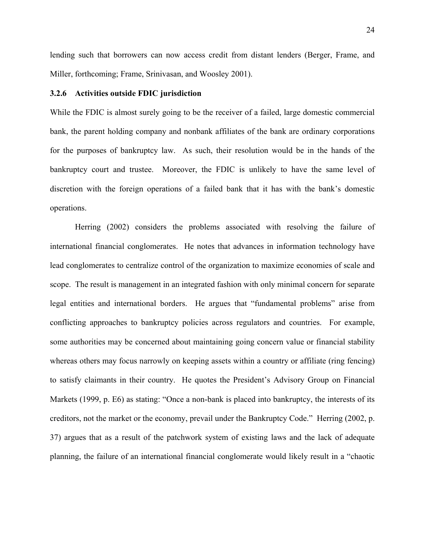lending such that borrowers can now access credit from distant lenders (Berger, Frame, and Miller, forthcoming; Frame, Srinivasan, and Woosley 2001).

#### **3.2.6 Activities outside FDIC jurisdiction**

While the FDIC is almost surely going to be the receiver of a failed, large domestic commercial bank, the parent holding company and nonbank affiliates of the bank are ordinary corporations for the purposes of bankruptcy law. As such, their resolution would be in the hands of the bankruptcy court and trustee. Moreover, the FDIC is unlikely to have the same level of discretion with the foreign operations of a failed bank that it has with the bank's domestic operations.

Herring (2002) considers the problems associated with resolving the failure of international financial conglomerates. He notes that advances in information technology have lead conglomerates to centralize control of the organization to maximize economies of scale and scope. The result is management in an integrated fashion with only minimal concern for separate legal entities and international borders. He argues that "fundamental problems" arise from conflicting approaches to bankruptcy policies across regulators and countries. For example, some authorities may be concerned about maintaining going concern value or financial stability whereas others may focus narrowly on keeping assets within a country or affiliate (ring fencing) to satisfy claimants in their country. He quotes the President's Advisory Group on Financial Markets (1999, p. E6) as stating: "Once a non-bank is placed into bankruptcy, the interests of its creditors, not the market or the economy, prevail under the Bankruptcy Code." Herring (2002, p. 37) argues that as a result of the patchwork system of existing laws and the lack of adequate planning, the failure of an international financial conglomerate would likely result in a "chaotic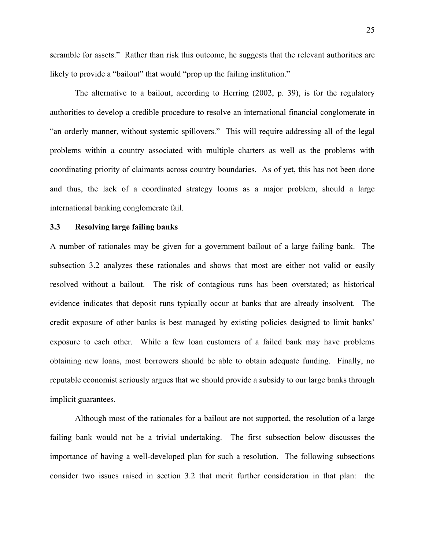scramble for assets." Rather than risk this outcome, he suggests that the relevant authorities are likely to provide a "bailout" that would "prop up the failing institution."

The alternative to a bailout, according to Herring (2002, p. 39), is for the regulatory authorities to develop a credible procedure to resolve an international financial conglomerate in "an orderly manner, without systemic spillovers." This will require addressing all of the legal problems within a country associated with multiple charters as well as the problems with coordinating priority of claimants across country boundaries. As of yet, this has not been done and thus, the lack of a coordinated strategy looms as a major problem, should a large international banking conglomerate fail.

#### **3.3 Resolving large failing banks**

A number of rationales may be given for a government bailout of a large failing bank. The subsection 3.2 analyzes these rationales and shows that most are either not valid or easily resolved without a bailout. The risk of contagious runs has been overstated; as historical evidence indicates that deposit runs typically occur at banks that are already insolvent. The credit exposure of other banks is best managed by existing policies designed to limit banks' exposure to each other. While a few loan customers of a failed bank may have problems obtaining new loans, most borrowers should be able to obtain adequate funding. Finally, no reputable economist seriously argues that we should provide a subsidy to our large banks through implicit guarantees.

Although most of the rationales for a bailout are not supported, the resolution of a large failing bank would not be a trivial undertaking. The first subsection below discusses the importance of having a well-developed plan for such a resolution. The following subsections consider two issues raised in section 3.2 that merit further consideration in that plan: the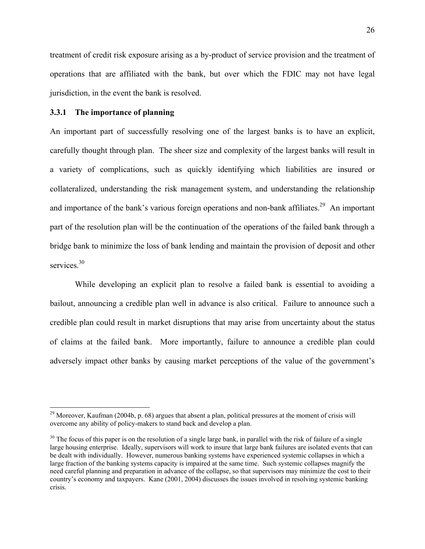treatment of credit risk exposure arising as a by-product of service provision and the treatment of operations that are affiliated with the bank, but over which the FDIC may not have legal jurisdiction, in the event the bank is resolved.

#### **3.3.1 The importance of planning**

 $\overline{a}$ 

An important part of successfully resolving one of the largest banks is to have an explicit, carefully thought through plan. The sheer size and complexity of the largest banks will result in a variety of complications, such as quickly identifying which liabilities are insured or collateralized, understanding the risk management system, and understanding the relationship and importance of the bank's various foreign operations and non-bank affiliates.<sup>29</sup> An important part of the resolution plan will be the continuation of the operations of the failed bank through a bridge bank to minimize the loss of bank lending and maintain the provision of deposit and other services<sup>30</sup>

While developing an explicit plan to resolve a failed bank is essential to avoiding a bailout, announcing a credible plan well in advance is also critical. Failure to announce such a credible plan could result in market disruptions that may arise from uncertainty about the status of claims at the failed bank. More importantly, failure to announce a credible plan could adversely impact other banks by causing market perceptions of the value of the government's

<sup>&</sup>lt;sup>29</sup> Moreover, Kaufman (2004b, p. 68) argues that absent a plan, political pressures at the moment of crisis will overcome any ability of policy-makers to stand back and develop a plan.

 $30$  The focus of this paper is on the resolution of a single large bank, in parallel with the risk of failure of a single large housing enterprise. Ideally, supervisors will work to insure that large bank failures are isolated events that can be dealt with individually. However, numerous banking systems have experienced systemic collapses in which a large fraction of the banking systems capacity is impaired at the same time. Such systemic collapses magnify the need careful planning and preparation in advance of the collapse, so that supervisors may minimize the cost to their country's economy and taxpayers. Kane (2001, 2004) discusses the issues involved in resolving systemic banking crisis.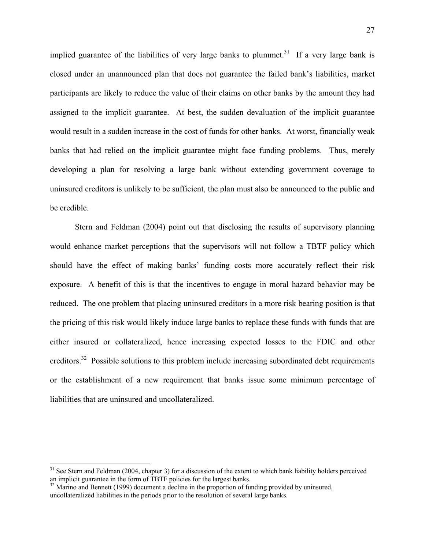implied guarantee of the liabilities of very large banks to plummet.<sup>31</sup> If a very large bank is closed under an unannounced plan that does not guarantee the failed bank's liabilities, market participants are likely to reduce the value of their claims on other banks by the amount they had assigned to the implicit guarantee. At best, the sudden devaluation of the implicit guarantee would result in a sudden increase in the cost of funds for other banks. At worst, financially weak banks that had relied on the implicit guarantee might face funding problems. Thus, merely developing a plan for resolving a large bank without extending government coverage to uninsured creditors is unlikely to be sufficient, the plan must also be announced to the public and be credible.

Stern and Feldman (2004) point out that disclosing the results of supervisory planning would enhance market perceptions that the supervisors will not follow a TBTF policy which should have the effect of making banks' funding costs more accurately reflect their risk exposure. A benefit of this is that the incentives to engage in moral hazard behavior may be reduced. The one problem that placing uninsured creditors in a more risk bearing position is that the pricing of this risk would likely induce large banks to replace these funds with funds that are either insured or collateralized, hence increasing expected losses to the FDIC and other creditors.<sup>32</sup> Possible solutions to this problem include increasing subordinated debt requirements or the establishment of a new requirement that banks issue some minimum percentage of liabilities that are uninsured and uncollateralized.

 $31$  See Stern and Feldman (2004, chapter 3) for a discussion of the extent to which bank liability holders perceived an implicit guarantee in the form of TBTF policies for the largest banks.

 $32$  Marino and Bennett (1999) document a decline in the proportion of funding provided by uninsured, uncollateralized liabilities in the periods prior to the resolution of several large banks.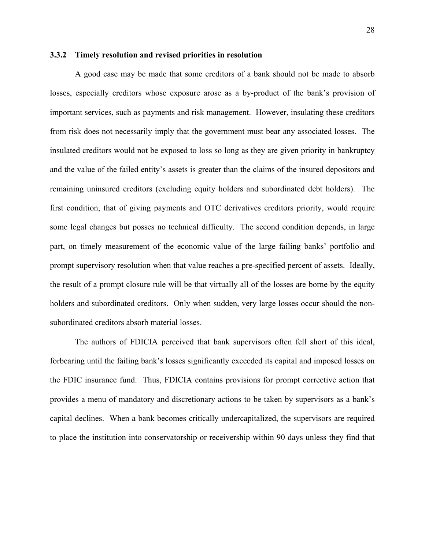#### **3.3.2 Timely resolution and revised priorities in resolution**

A good case may be made that some creditors of a bank should not be made to absorb losses, especially creditors whose exposure arose as a by-product of the bank's provision of important services, such as payments and risk management. However, insulating these creditors from risk does not necessarily imply that the government must bear any associated losses. The insulated creditors would not be exposed to loss so long as they are given priority in bankruptcy and the value of the failed entity's assets is greater than the claims of the insured depositors and remaining uninsured creditors (excluding equity holders and subordinated debt holders). The first condition, that of giving payments and OTC derivatives creditors priority, would require some legal changes but posses no technical difficulty. The second condition depends, in large part, on timely measurement of the economic value of the large failing banks' portfolio and prompt supervisory resolution when that value reaches a pre-specified percent of assets. Ideally, the result of a prompt closure rule will be that virtually all of the losses are borne by the equity holders and subordinated creditors. Only when sudden, very large losses occur should the nonsubordinated creditors absorb material losses.

The authors of FDICIA perceived that bank supervisors often fell short of this ideal, forbearing until the failing bank's losses significantly exceeded its capital and imposed losses on the FDIC insurance fund. Thus, FDICIA contains provisions for prompt corrective action that provides a menu of mandatory and discretionary actions to be taken by supervisors as a bank's capital declines. When a bank becomes critically undercapitalized, the supervisors are required to place the institution into conservatorship or receivership within 90 days unless they find that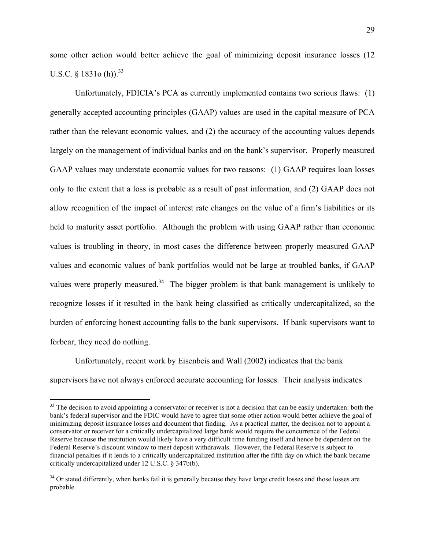some other action would better achieve the goal of minimizing deposit insurance losses (12 U.S.C.  $\S$  1831o (h)).<sup>33</sup>

Unfortunately, FDICIA's PCA as currently implemented contains two serious flaws: (1) generally accepted accounting principles (GAAP) values are used in the capital measure of PCA rather than the relevant economic values, and (2) the accuracy of the accounting values depends largely on the management of individual banks and on the bank's supervisor. Properly measured GAAP values may understate economic values for two reasons: (1) GAAP requires loan losses only to the extent that a loss is probable as a result of past information, and (2) GAAP does not allow recognition of the impact of interest rate changes on the value of a firm's liabilities or its held to maturity asset portfolio. Although the problem with using GAAP rather than economic values is troubling in theory, in most cases the difference between properly measured GAAP values and economic values of bank portfolios would not be large at troubled banks, if GAAP values were properly measured.<sup>34</sup> The bigger problem is that bank management is unlikely to recognize losses if it resulted in the bank being classified as critically undercapitalized, so the burden of enforcing honest accounting falls to the bank supervisors. If bank supervisors want to forbear, they need do nothing.

 Unfortunately, recent work by Eisenbeis and Wall (2002) indicates that the bank supervisors have not always enforced accurate accounting for losses. Their analysis indicates

1

<sup>&</sup>lt;sup>33</sup> The decision to avoid appointing a conservator or receiver is not a decision that can be easily undertaken: both the bank's federal supervisor and the FDIC would have to agree that some other action would better achieve the goal of minimizing deposit insurance losses and document that finding. As a practical matter, the decision not to appoint a conservator or receiver for a critically undercapitalized large bank would require the concurrence of the Federal Reserve because the institution would likely have a very difficult time funding itself and hence be dependent on the Federal Reserve's discount window to meet deposit withdrawals. However, the Federal Reserve is subject to financial penalties if it lends to a critically undercapitalized institution after the fifth day on which the bank became critically undercapitalized under 12 U.S.C. § 347b(b).

 $34$  Or stated differently, when banks fail it is generally because they have large credit losses and those losses are probable.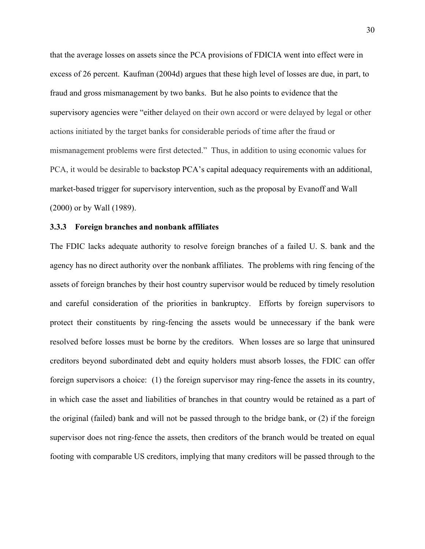that the average losses on assets since the PCA provisions of FDICIA went into effect were in excess of 26 percent. Kaufman (2004d) argues that these high level of losses are due, in part, to fraud and gross mismanagement by two banks. But he also points to evidence that the supervisory agencies were "either delayed on their own accord or were delayed by legal or other actions initiated by the target banks for considerable periods of time after the fraud or mismanagement problems were first detected." Thus, in addition to using economic values for PCA, it would be desirable to backstop PCA's capital adequacy requirements with an additional, market-based trigger for supervisory intervention, such as the proposal by Evanoff and Wall (2000) or by Wall (1989).

#### **3.3.3 Foreign branches and nonbank affiliates**

The FDIC lacks adequate authority to resolve foreign branches of a failed U. S. bank and the agency has no direct authority over the nonbank affiliates. The problems with ring fencing of the assets of foreign branches by their host country supervisor would be reduced by timely resolution and careful consideration of the priorities in bankruptcy. Efforts by foreign supervisors to protect their constituents by ring-fencing the assets would be unnecessary if the bank were resolved before losses must be borne by the creditors. When losses are so large that uninsured creditors beyond subordinated debt and equity holders must absorb losses, the FDIC can offer foreign supervisors a choice: (1) the foreign supervisor may ring-fence the assets in its country, in which case the asset and liabilities of branches in that country would be retained as a part of the original (failed) bank and will not be passed through to the bridge bank, or (2) if the foreign supervisor does not ring-fence the assets, then creditors of the branch would be treated on equal footing with comparable US creditors, implying that many creditors will be passed through to the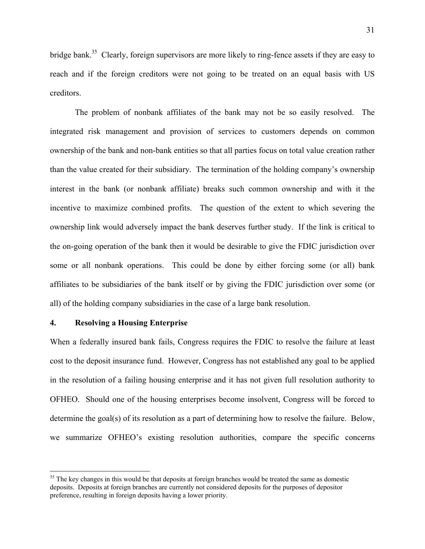bridge bank.<sup>35</sup> Clearly, foreign supervisors are more likely to ring-fence assets if they are easy to reach and if the foreign creditors were not going to be treated on an equal basis with US creditors.

The problem of nonbank affiliates of the bank may not be so easily resolved. The integrated risk management and provision of services to customers depends on common ownership of the bank and non-bank entities so that all parties focus on total value creation rather than the value created for their subsidiary. The termination of the holding company's ownership interest in the bank (or nonbank affiliate) breaks such common ownership and with it the incentive to maximize combined profits. The question of the extent to which severing the ownership link would adversely impact the bank deserves further study. If the link is critical to the on-going operation of the bank then it would be desirable to give the FDIC jurisdiction over some or all nonbank operations. This could be done by either forcing some (or all) bank affiliates to be subsidiaries of the bank itself or by giving the FDIC jurisdiction over some (or all) of the holding company subsidiaries in the case of a large bank resolution.

#### **4. Resolving a Housing Enterprise**

 $\overline{a}$ 

When a federally insured bank fails, Congress requires the FDIC to resolve the failure at least cost to the deposit insurance fund. However, Congress has not established any goal to be applied in the resolution of a failing housing enterprise and it has not given full resolution authority to OFHEO. Should one of the housing enterprises become insolvent, Congress will be forced to determine the goal(s) of its resolution as a part of determining how to resolve the failure. Below, we summarize OFHEO's existing resolution authorities, compare the specific concerns

<sup>&</sup>lt;sup>35</sup> The key changes in this would be that deposits at foreign branches would be treated the same as domestic deposits. Deposits at foreign branches are currently not considered deposits for the purposes of depositor preference, resulting in foreign deposits having a lower priority.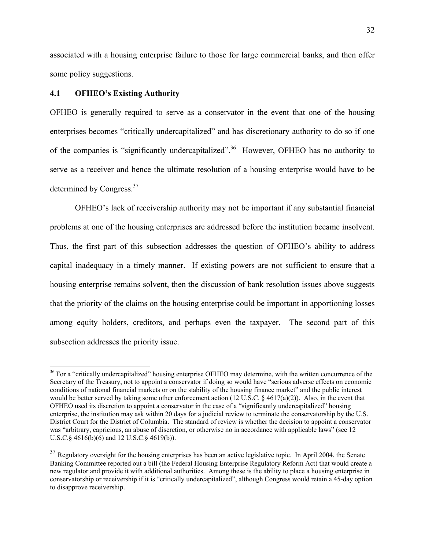associated with a housing enterprise failure to those for large commercial banks, and then offer some policy suggestions.

#### **4.1 OFHEO's Existing Authority**

 $\overline{a}$ 

OFHEO is generally required to serve as a conservator in the event that one of the housing enterprises becomes "critically undercapitalized" and has discretionary authority to do so if one of the companies is "significantly undercapitalized".<sup>36</sup> However, OFHEO has no authority to serve as a receiver and hence the ultimate resolution of a housing enterprise would have to be determined by Congress.<sup>37</sup>

OFHEO's lack of receivership authority may not be important if any substantial financial problems at one of the housing enterprises are addressed before the institution became insolvent. Thus, the first part of this subsection addresses the question of OFHEO's ability to address capital inadequacy in a timely manner. If existing powers are not sufficient to ensure that a housing enterprise remains solvent, then the discussion of bank resolution issues above suggests that the priority of the claims on the housing enterprise could be important in apportioning losses among equity holders, creditors, and perhaps even the taxpayer. The second part of this subsection addresses the priority issue.

<sup>&</sup>lt;sup>36</sup> For a "critically undercapitalized" housing enterprise OFHEO may determine, with the written concurrence of the Secretary of the Treasury, not to appoint a conservator if doing so would have "serious adverse effects on economic conditions of national financial markets or on the stability of the housing finance market" and the public interest would be better served by taking some other enforcement action (12 U.S.C.  $\S$  4617(a)(2)). Also, in the event that OFHEO used its discretion to appoint a conservator in the case of a "significantly undercapitalized" housing enterprise, the institution may ask within 20 days for a judicial review to terminate the conservatorship by the U.S. District Court for the District of Columbia. The standard of review is whether the decision to appoint a conservator was "arbitrary, capricious, an abuse of discretion, or otherwise no in accordance with applicable laws" (see 12) U.S.C.§ 4616(b)(6) and 12 U.S.C.§ 4619(b)).

 $37$  Regulatory oversight for the housing enterprises has been an active legislative topic. In April 2004, the Senate Banking Committee reported out a bill (the Federal Housing Enterprise Regulatory Reform Act) that would create a new regulator and provide it with additional authorities. Among these is the ability to place a housing enterprise in conservatorship or receivership if it is "critically undercapitalized", although Congress would retain a 45-day option to disapprove receivership.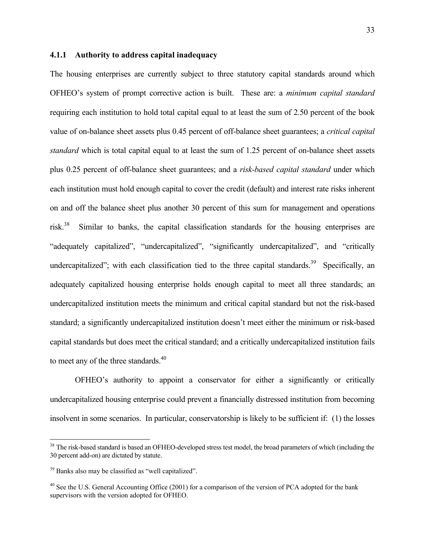#### **4.1.1 Authority to address capital inadequacy**

The housing enterprises are currently subject to three statutory capital standards around which OFHEO's system of prompt corrective action is built. These are: a *minimum capital standard* requiring each institution to hold total capital equal to at least the sum of 2.50 percent of the book value of on-balance sheet assets plus 0.45 percent of off-balance sheet guarantees; a *critical capital standard* which is total capital equal to at least the sum of 1.25 percent of on-balance sheet assets plus 0.25 percent of off-balance sheet guarantees; and a *risk-based capital standard* under which each institution must hold enough capital to cover the credit (default) and interest rate risks inherent on and off the balance sheet plus another 30 percent of this sum for management and operations risk.<sup>38</sup> Similar to banks, the capital classification standards for the housing enterprises are "adequately capitalized", "undercapitalized", "significantly undercapitalized", and "critically undercapitalized"; with each classification tied to the three capital standards.<sup>39</sup> Specifically, an adequately capitalized housing enterprise holds enough capital to meet all three standards; an undercapitalized institution meets the minimum and critical capital standard but not the risk-based standard; a significantly undercapitalized institution doesn't meet either the minimum or risk-based capital standards but does meet the critical standard; and a critically undercapitalized institution fails to meet any of the three standards.<sup>40</sup>

 OFHEO's authority to appoint a conservator for either a significantly or critically undercapitalized housing enterprise could prevent a financially distressed institution from becoming insolvent in some scenarios. In particular, conservatorship is likely to be sufficient if: (1) the losses

<sup>&</sup>lt;sup>38</sup> The risk-based standard is based an OFHEO-developed stress test model, the broad parameters of which (including the 30 percent add-on) are dictated by statute.

<sup>&</sup>lt;sup>39</sup> Banks also may be classified as "well capitalized".

<sup>&</sup>lt;sup>40</sup> See the U.S. General Accounting Office (2001) for a comparison of the version of PCA adopted for the bank supervisors with the version adopted for OFHEO.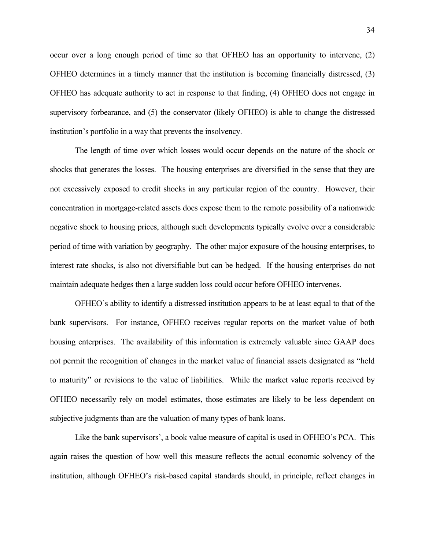occur over a long enough period of time so that OFHEO has an opportunity to intervene, (2) OFHEO determines in a timely manner that the institution is becoming financially distressed, (3) OFHEO has adequate authority to act in response to that finding, (4) OFHEO does not engage in supervisory forbearance, and (5) the conservator (likely OFHEO) is able to change the distressed institution's portfolio in a way that prevents the insolvency.

 The length of time over which losses would occur depends on the nature of the shock or shocks that generates the losses. The housing enterprises are diversified in the sense that they are not excessively exposed to credit shocks in any particular region of the country. However, their concentration in mortgage-related assets does expose them to the remote possibility of a nationwide negative shock to housing prices, although such developments typically evolve over a considerable period of time with variation by geography. The other major exposure of the housing enterprises, to interest rate shocks, is also not diversifiable but can be hedged. If the housing enterprises do not maintain adequate hedges then a large sudden loss could occur before OFHEO intervenes.

 OFHEO's ability to identify a distressed institution appears to be at least equal to that of the bank supervisors. For instance, OFHEO receives regular reports on the market value of both housing enterprises. The availability of this information is extremely valuable since GAAP does not permit the recognition of changes in the market value of financial assets designated as "held to maturity" or revisions to the value of liabilities. While the market value reports received by OFHEO necessarily rely on model estimates, those estimates are likely to be less dependent on subjective judgments than are the valuation of many types of bank loans.

Like the bank supervisors', a book value measure of capital is used in OFHEO's PCA. This again raises the question of how well this measure reflects the actual economic solvency of the institution, although OFHEO's risk-based capital standards should, in principle, reflect changes in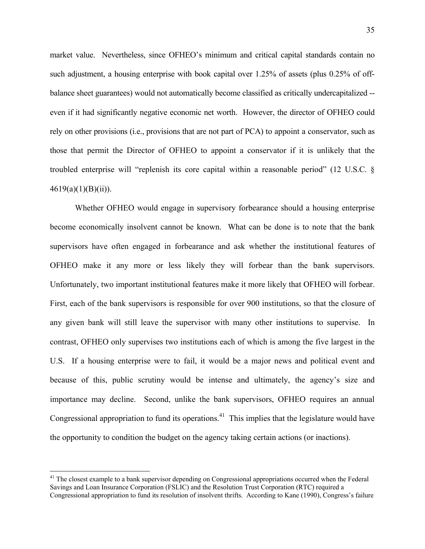market value. Nevertheless, since OFHEO's minimum and critical capital standards contain no such adjustment, a housing enterprise with book capital over 1.25% of assets (plus 0.25% of offbalance sheet guarantees) would not automatically become classified as critically undercapitalized - even if it had significantly negative economic net worth. However, the director of OFHEO could rely on other provisions (i.e., provisions that are not part of PCA) to appoint a conservator, such as those that permit the Director of OFHEO to appoint a conservator if it is unlikely that the troubled enterprise will "replenish its core capital within a reasonable period" (12 U.S.C. §  $4619(a)(1)(B)(ii)$ ).

 Whether OFHEO would engage in supervisory forbearance should a housing enterprise become economically insolvent cannot be known. What can be done is to note that the bank supervisors have often engaged in forbearance and ask whether the institutional features of OFHEO make it any more or less likely they will forbear than the bank supervisors. Unfortunately, two important institutional features make it more likely that OFHEO will forbear. First, each of the bank supervisors is responsible for over 900 institutions, so that the closure of any given bank will still leave the supervisor with many other institutions to supervise. In contrast, OFHEO only supervises two institutions each of which is among the five largest in the U.S. If a housing enterprise were to fail, it would be a major news and political event and because of this, public scrutiny would be intense and ultimately, the agency's size and importance may decline. Second, unlike the bank supervisors, OFHEO requires an annual Congressional appropriation to fund its operations.<sup>41</sup> This implies that the legislature would have the opportunity to condition the budget on the agency taking certain actions (or inactions).

<sup>&</sup>lt;sup>41</sup> The closest example to a bank supervisor depending on Congressional appropriations occurred when the Federal Savings and Loan Insurance Corporation (FSLIC) and the Resolution Trust Corporation (RTC) required a Congressional appropriation to fund its resolution of insolvent thrifts. According to Kane (1990), Congress's failure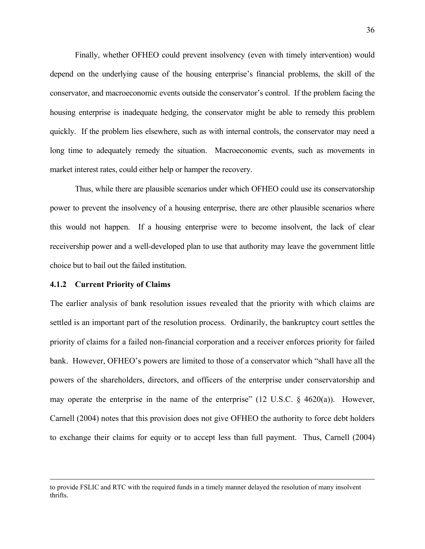Finally, whether OFHEO could prevent insolvency (even with timely intervention) would depend on the underlying cause of the housing enterprise's financial problems, the skill of the conservator, and macroeconomic events outside the conservator's control. If the problem facing the housing enterprise is inadequate hedging, the conservator might be able to remedy this problem quickly. If the problem lies elsewhere, such as with internal controls, the conservator may need a long time to adequately remedy the situation. Macroeconomic events, such as movements in market interest rates, could either help or hamper the recovery.

 Thus, while there are plausible scenarios under which OFHEO could use its conservatorship power to prevent the insolvency of a housing enterprise, there are other plausible scenarios where this would not happen. If a housing enterprise were to become insolvent, the lack of clear receivership power and a well-developed plan to use that authority may leave the government little choice but to bail out the failed institution.

#### **4.1.2 Current Priority of Claims**

The earlier analysis of bank resolution issues revealed that the priority with which claims are settled is an important part of the resolution process. Ordinarily, the bankruptcy court settles the priority of claims for a failed non-financial corporation and a receiver enforces priority for failed bank. However, OFHEO's powers are limited to those of a conservator which "shall have all the powers of the shareholders, directors, and officers of the enterprise under conservatorship and may operate the enterprise in the name of the enterprise" (12 U.S.C.  $\S$  4620(a)). However, Carnell (2004) notes that this provision does not give OFHEO the authority to force debt holders to exchange their claims for equity or to accept less than full payment. Thus, Carnell (2004)

to provide FSLIC and RTC with the required funds in a timely manner delayed the resolution of many insolvent thrifts.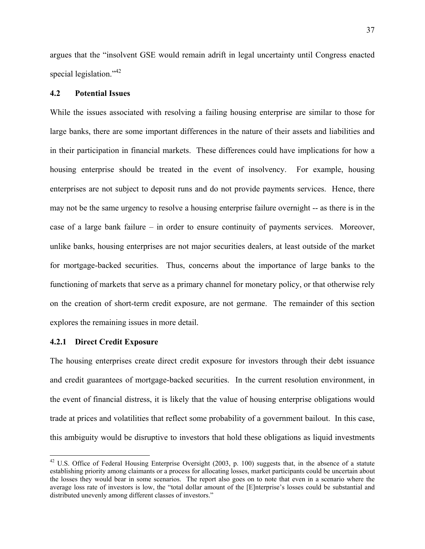argues that the "insolvent GSE would remain adrift in legal uncertainty until Congress enacted special legislation."<sup>42</sup>

#### **4.2 Potential Issues**

While the issues associated with resolving a failing housing enterprise are similar to those for large banks, there are some important differences in the nature of their assets and liabilities and in their participation in financial markets. These differences could have implications for how a housing enterprise should be treated in the event of insolvency. For example, housing enterprises are not subject to deposit runs and do not provide payments services. Hence, there may not be the same urgency to resolve a housing enterprise failure overnight -- as there is in the case of a large bank failure – in order to ensure continuity of payments services. Moreover, unlike banks, housing enterprises are not major securities dealers, at least outside of the market for mortgage-backed securities. Thus, concerns about the importance of large banks to the functioning of markets that serve as a primary channel for monetary policy, or that otherwise rely on the creation of short-term credit exposure, are not germane. The remainder of this section explores the remaining issues in more detail.

#### **4.2.1 Direct Credit Exposure**

 $\overline{a}$ 

The housing enterprises create direct credit exposure for investors through their debt issuance and credit guarantees of mortgage-backed securities. In the current resolution environment, in the event of financial distress, it is likely that the value of housing enterprise obligations would trade at prices and volatilities that reflect some probability of a government bailout. In this case, this ambiguity would be disruptive to investors that hold these obligations as liquid investments

<sup>&</sup>lt;sup>42</sup> U.S. Office of Federal Housing Enterprise Oversight (2003, p. 100) suggests that, in the absence of a statute establishing priority among claimants or a process for allocating losses, market participants could be uncertain about the losses they would bear in some scenarios. The report also goes on to note that even in a scenario where the average loss rate of investors is low, the "total dollar amount of the [E]nterprise's losses could be substantial and distributed unevenly among different classes of investors."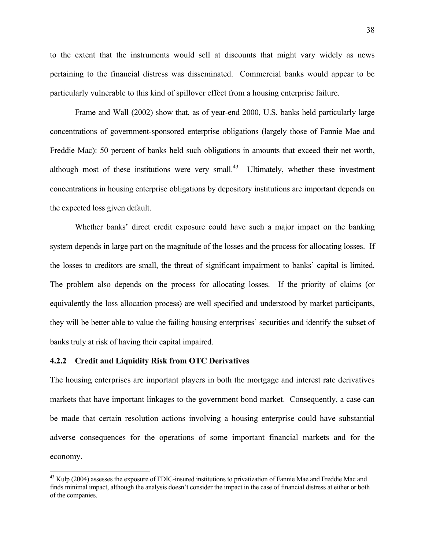to the extent that the instruments would sell at discounts that might vary widely as news pertaining to the financial distress was disseminated. Commercial banks would appear to be particularly vulnerable to this kind of spillover effect from a housing enterprise failure.

 Frame and Wall (2002) show that, as of year-end 2000, U.S. banks held particularly large concentrations of government-sponsored enterprise obligations (largely those of Fannie Mae and Freddie Mac): 50 percent of banks held such obligations in amounts that exceed their net worth, although most of these institutions were very small.<sup>43</sup> Ultimately, whether these investment concentrations in housing enterprise obligations by depository institutions are important depends on the expected loss given default.

 Whether banks' direct credit exposure could have such a major impact on the banking system depends in large part on the magnitude of the losses and the process for allocating losses. If the losses to creditors are small, the threat of significant impairment to banks' capital is limited. The problem also depends on the process for allocating losses. If the priority of claims (or equivalently the loss allocation process) are well specified and understood by market participants, they will be better able to value the failing housing enterprises' securities and identify the subset of banks truly at risk of having their capital impaired.

#### **4.2.2 Credit and Liquidity Risk from OTC Derivatives**

 $\overline{a}$ 

The housing enterprises are important players in both the mortgage and interest rate derivatives markets that have important linkages to the government bond market. Consequently, a case can be made that certain resolution actions involving a housing enterprise could have substantial adverse consequences for the operations of some important financial markets and for the economy.

<sup>&</sup>lt;sup>43</sup> Kulp (2004) assesses the exposure of FDIC-insured institutions to privatization of Fannie Mae and Freddie Mac and finds minimal impact, although the analysis doesn't consider the impact in the case of financial distress at either or both of the companies.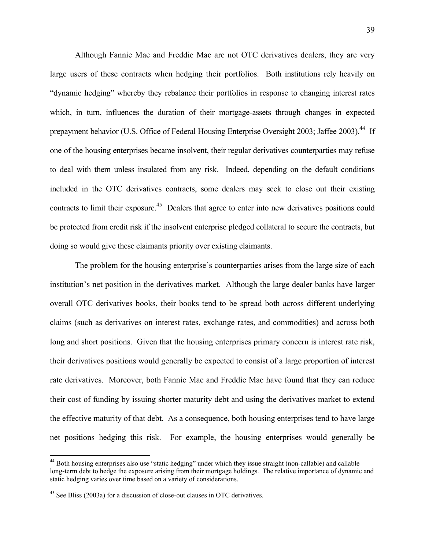Although Fannie Mae and Freddie Mac are not OTC derivatives dealers, they are very large users of these contracts when hedging their portfolios. Both institutions rely heavily on "dynamic hedging" whereby they rebalance their portfolios in response to changing interest rates which, in turn, influences the duration of their mortgage-assets through changes in expected prepayment behavior (U.S. Office of Federal Housing Enterprise Oversight 2003; Jaffee 2003).<sup>44</sup> If one of the housing enterprises became insolvent, their regular derivatives counterparties may refuse to deal with them unless insulated from any risk. Indeed, depending on the default conditions included in the OTC derivatives contracts, some dealers may seek to close out their existing contracts to limit their exposure.<sup>45</sup> Dealers that agree to enter into new derivatives positions could be protected from credit risk if the insolvent enterprise pledged collateral to secure the contracts, but doing so would give these claimants priority over existing claimants.

The problem for the housing enterprise's counterparties arises from the large size of each institution's net position in the derivatives market. Although the large dealer banks have larger overall OTC derivatives books, their books tend to be spread both across different underlying claims (such as derivatives on interest rates, exchange rates, and commodities) and across both long and short positions. Given that the housing enterprises primary concern is interest rate risk, their derivatives positions would generally be expected to consist of a large proportion of interest rate derivatives. Moreover, both Fannie Mae and Freddie Mac have found that they can reduce their cost of funding by issuing shorter maturity debt and using the derivatives market to extend the effective maturity of that debt. As a consequence, both housing enterprises tend to have large net positions hedging this risk. For example, the housing enterprises would generally be

<sup>&</sup>lt;sup>44</sup> Both housing enterprises also use "static hedging" under which they issue straight (non-callable) and callable long-term debt to hedge the exposure arising from their mortgage holdings. The relative importance of dynamic and static hedging varies over time based on a variety of considerations.

 $45$  See Bliss (2003a) for a discussion of close-out clauses in OTC derivatives.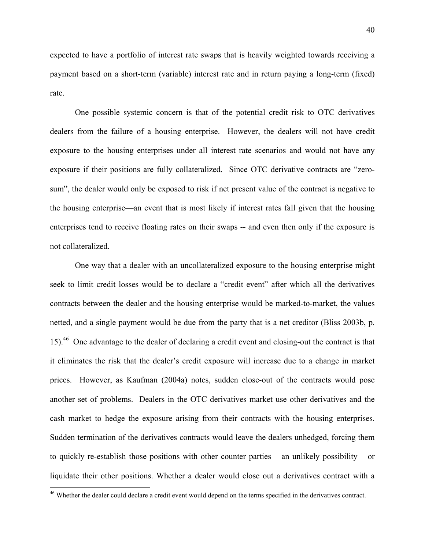expected to have a portfolio of interest rate swaps that is heavily weighted towards receiving a payment based on a short-term (variable) interest rate and in return paying a long-term (fixed) rate.

One possible systemic concern is that of the potential credit risk to OTC derivatives dealers from the failure of a housing enterprise. However, the dealers will not have credit exposure to the housing enterprises under all interest rate scenarios and would not have any exposure if their positions are fully collateralized. Since OTC derivative contracts are "zerosum", the dealer would only be exposed to risk if net present value of the contract is negative to the housing enterprise—an event that is most likely if interest rates fall given that the housing enterprises tend to receive floating rates on their swaps -- and even then only if the exposure is not collateralized.

One way that a dealer with an uncollateralized exposure to the housing enterprise might seek to limit credit losses would be to declare a "credit event" after which all the derivatives contracts between the dealer and the housing enterprise would be marked-to-market, the values netted, and a single payment would be due from the party that is a net creditor (Bliss 2003b, p. 15).46 One advantage to the dealer of declaring a credit event and closing-out the contract is that it eliminates the risk that the dealer's credit exposure will increase due to a change in market prices. However, as Kaufman (2004a) notes, sudden close-out of the contracts would pose another set of problems. Dealers in the OTC derivatives market use other derivatives and the cash market to hedge the exposure arising from their contracts with the housing enterprises. Sudden termination of the derivatives contracts would leave the dealers unhedged, forcing them to quickly re-establish those positions with other counter parties – an unlikely possibility – or liquidate their other positions. Whether a dealer would close out a derivatives contract with a

<sup>&</sup>lt;sup>46</sup> Whether the dealer could declare a credit event would depend on the terms specified in the derivatives contract.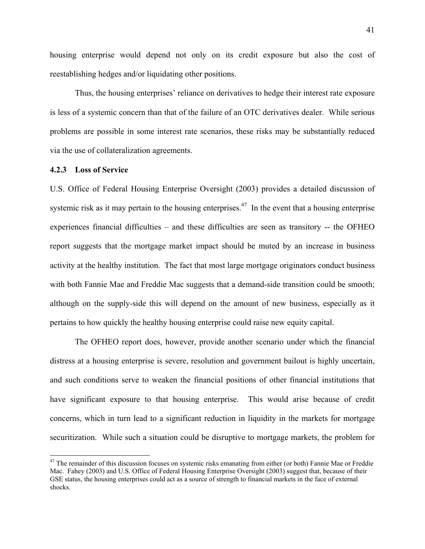housing enterprise would depend not only on its credit exposure but also the cost of reestablishing hedges and/or liquidating other positions.

Thus, the housing enterprises' reliance on derivatives to hedge their interest rate exposure is less of a systemic concern than that of the failure of an OTC derivatives dealer. While serious problems are possible in some interest rate scenarios, these risks may be substantially reduced via the use of collateralization agreements.

#### **4.2.3 Loss of Service**

 $\overline{a}$ 

U.S. Office of Federal Housing Enterprise Oversight (2003) provides a detailed discussion of systemic risk as it may pertain to the housing enterprises.<sup>47</sup> In the event that a housing enterprise experiences financial difficulties – and these difficulties are seen as transitory -- the OFHEO report suggests that the mortgage market impact should be muted by an increase in business activity at the healthy institution. The fact that most large mortgage originators conduct business with both Fannie Mae and Freddie Mac suggests that a demand-side transition could be smooth; although on the supply-side this will depend on the amount of new business, especially as it pertains to how quickly the healthy housing enterprise could raise new equity capital.

The OFHEO report does, however, provide another scenario under which the financial distress at a housing enterprise is severe, resolution and government bailout is highly uncertain, and such conditions serve to weaken the financial positions of other financial institutions that have significant exposure to that housing enterprise. This would arise because of credit concerns, which in turn lead to a significant reduction in liquidity in the markets for mortgage securitization. While such a situation could be disruptive to mortgage markets, the problem for

 $47$  The remainder of this discussion focuses on systemic risks emanating from either (or both) Fannie Mae or Freddie Mac. Fahey (2003) and U.S. Office of Federal Housing Enterprise Oversight (2003) suggest that, because of their GSE status, the housing enterprises could act as a source of strength to financial markets in the face of external shocks.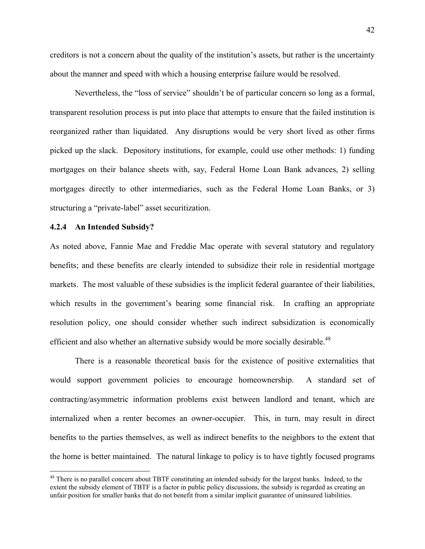creditors is not a concern about the quality of the institution's assets, but rather is the uncertainty about the manner and speed with which a housing enterprise failure would be resolved.

Nevertheless, the "loss of service" shouldn't be of particular concern so long as a formal, transparent resolution process is put into place that attempts to ensure that the failed institution is reorganized rather than liquidated. Any disruptions would be very short lived as other firms picked up the slack. Depository institutions, for example, could use other methods: 1) funding mortgages on their balance sheets with, say, Federal Home Loan Bank advances, 2) selling mortgages directly to other intermediaries, such as the Federal Home Loan Banks, or 3) structuring a "private-label" asset securitization.

#### **4.2.4 An Intended Subsidy?**

1

As noted above, Fannie Mae and Freddie Mac operate with several statutory and regulatory benefits; and these benefits are clearly intended to subsidize their role in residential mortgage markets. The most valuable of these subsidies is the implicit federal guarantee of their liabilities, which results in the government's bearing some financial risk. In crafting an appropriate resolution policy, one should consider whether such indirect subsidization is economically efficient and also whether an alternative subsidy would be more socially desirable.<sup>48</sup>

There is a reasonable theoretical basis for the existence of positive externalities that would support government policies to encourage homeownership. A standard set of contracting/asymmetric information problems exist between landlord and tenant, which are internalized when a renter becomes an owner-occupier. This, in turn, may result in direct benefits to the parties themselves, as well as indirect benefits to the neighbors to the extent that the home is better maintained. The natural linkage to policy is to have tightly focused programs

 $^{48}$  There is no parallel concern about TBTF constituting an intended subsidy for the largest banks. Indeed, to the extent the subsidy element of TBTF is a factor in public policy discussions, the subsidy is regarded as creating an unfair position for smaller banks that do not benefit from a similar implicit guarantee of uninsured liabilities.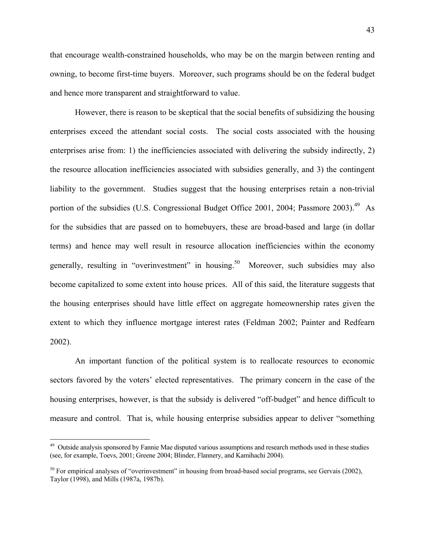that encourage wealth-constrained households, who may be on the margin between renting and owning, to become first-time buyers. Moreover, such programs should be on the federal budget and hence more transparent and straightforward to value.

However, there is reason to be skeptical that the social benefits of subsidizing the housing enterprises exceed the attendant social costs. The social costs associated with the housing enterprises arise from: 1) the inefficiencies associated with delivering the subsidy indirectly, 2) the resource allocation inefficiencies associated with subsidies generally, and 3) the contingent liability to the government. Studies suggest that the housing enterprises retain a non-trivial portion of the subsidies (U.S. Congressional Budget Office 2001, 2004; Passmore 2003).<sup>49</sup> As for the subsidies that are passed on to homebuyers, these are broad-based and large (in dollar terms) and hence may well result in resource allocation inefficiencies within the economy generally, resulting in "overinvestment" in housing.<sup>50</sup> Moreover, such subsidies may also become capitalized to some extent into house prices. All of this said, the literature suggests that the housing enterprises should have little effect on aggregate homeownership rates given the extent to which they influence mortgage interest rates (Feldman 2002; Painter and Redfearn 2002).

An important function of the political system is to reallocate resources to economic sectors favored by the voters' elected representatives. The primary concern in the case of the housing enterprises, however, is that the subsidy is delivered "off-budget" and hence difficult to measure and control. That is, while housing enterprise subsidies appear to deliver "something

<sup>&</sup>lt;sup>49</sup> Outside analysis sponsored by Fannie Mae disputed various assumptions and research methods used in these studies (see, for example, Toevs, 2001; Greene 2004; Blinder, Flannery, and Kamihachi 2004).

<sup>&</sup>lt;sup>50</sup> For empirical analyses of "overinvestment" in housing from broad-based social programs, see Gervais (2002), Taylor (1998), and Mills (1987a, 1987b).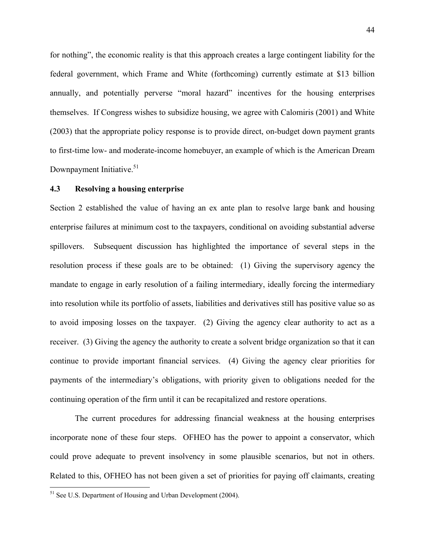for nothing", the economic reality is that this approach creates a large contingent liability for the federal government, which Frame and White (forthcoming) currently estimate at \$13 billion annually, and potentially perverse "moral hazard" incentives for the housing enterprises themselves. If Congress wishes to subsidize housing, we agree with Calomiris (2001) and White (2003) that the appropriate policy response is to provide direct, on-budget down payment grants to first-time low- and moderate-income homebuyer, an example of which is the American Dream Downpayment Initiative.<sup>51</sup>

#### **4.3 Resolving a housing enterprise**

Section 2 established the value of having an ex ante plan to resolve large bank and housing enterprise failures at minimum cost to the taxpayers, conditional on avoiding substantial adverse spillovers. Subsequent discussion has highlighted the importance of several steps in the resolution process if these goals are to be obtained: (1) Giving the supervisory agency the mandate to engage in early resolution of a failing intermediary, ideally forcing the intermediary into resolution while its portfolio of assets, liabilities and derivatives still has positive value so as to avoid imposing losses on the taxpayer. (2) Giving the agency clear authority to act as a receiver. (3) Giving the agency the authority to create a solvent bridge organization so that it can continue to provide important financial services. (4) Giving the agency clear priorities for payments of the intermediary's obligations, with priority given to obligations needed for the continuing operation of the firm until it can be recapitalized and restore operations.

 The current procedures for addressing financial weakness at the housing enterprises incorporate none of these four steps. OFHEO has the power to appoint a conservator, which could prove adequate to prevent insolvency in some plausible scenarios, but not in others. Related to this, OFHEO has not been given a set of priorities for paying off claimants, creating

<u>.</u>

<sup>&</sup>lt;sup>51</sup> See U.S. Department of Housing and Urban Development (2004).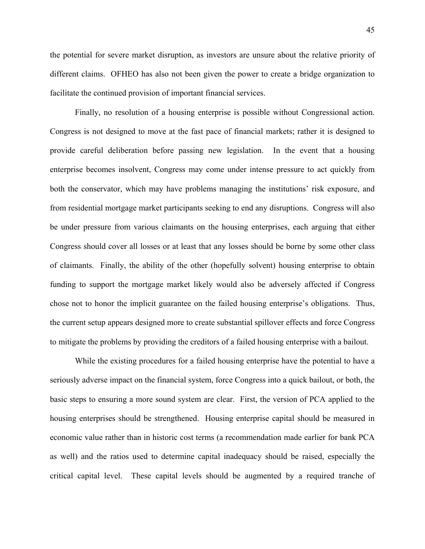the potential for severe market disruption, as investors are unsure about the relative priority of different claims. OFHEO has also not been given the power to create a bridge organization to facilitate the continued provision of important financial services.

 Finally, no resolution of a housing enterprise is possible without Congressional action. Congress is not designed to move at the fast pace of financial markets; rather it is designed to provide careful deliberation before passing new legislation. In the event that a housing enterprise becomes insolvent, Congress may come under intense pressure to act quickly from both the conservator, which may have problems managing the institutions' risk exposure, and from residential mortgage market participants seeking to end any disruptions. Congress will also be under pressure from various claimants on the housing enterprises, each arguing that either Congress should cover all losses or at least that any losses should be borne by some other class of claimants. Finally, the ability of the other (hopefully solvent) housing enterprise to obtain funding to support the mortgage market likely would also be adversely affected if Congress chose not to honor the implicit guarantee on the failed housing enterprise's obligations. Thus, the current setup appears designed more to create substantial spillover effects and force Congress to mitigate the problems by providing the creditors of a failed housing enterprise with a bailout.

 While the existing procedures for a failed housing enterprise have the potential to have a seriously adverse impact on the financial system, force Congress into a quick bailout, or both, the basic steps to ensuring a more sound system are clear. First, the version of PCA applied to the housing enterprises should be strengthened. Housing enterprise capital should be measured in economic value rather than in historic cost terms (a recommendation made earlier for bank PCA as well) and the ratios used to determine capital inadequacy should be raised, especially the critical capital level. These capital levels should be augmented by a required tranche of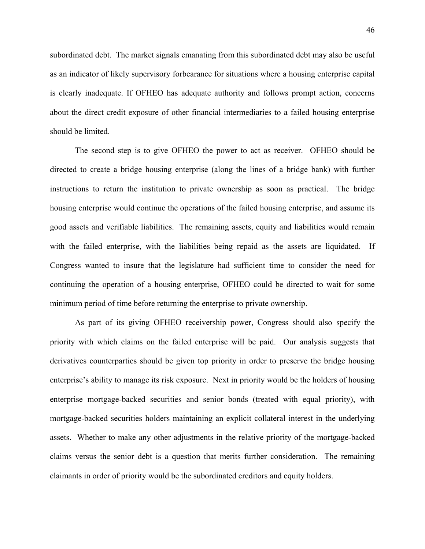subordinated debt. The market signals emanating from this subordinated debt may also be useful as an indicator of likely supervisory forbearance for situations where a housing enterprise capital is clearly inadequate. If OFHEO has adequate authority and follows prompt action, concerns about the direct credit exposure of other financial intermediaries to a failed housing enterprise should be limited.

 The second step is to give OFHEO the power to act as receiver. OFHEO should be directed to create a bridge housing enterprise (along the lines of a bridge bank) with further instructions to return the institution to private ownership as soon as practical. The bridge housing enterprise would continue the operations of the failed housing enterprise, and assume its good assets and verifiable liabilities. The remaining assets, equity and liabilities would remain with the failed enterprise, with the liabilities being repaid as the assets are liquidated. If Congress wanted to insure that the legislature had sufficient time to consider the need for continuing the operation of a housing enterprise, OFHEO could be directed to wait for some minimum period of time before returning the enterprise to private ownership.

 As part of its giving OFHEO receivership power, Congress should also specify the priority with which claims on the failed enterprise will be paid. Our analysis suggests that derivatives counterparties should be given top priority in order to preserve the bridge housing enterprise's ability to manage its risk exposure. Next in priority would be the holders of housing enterprise mortgage-backed securities and senior bonds (treated with equal priority), with mortgage-backed securities holders maintaining an explicit collateral interest in the underlying assets. Whether to make any other adjustments in the relative priority of the mortgage-backed claims versus the senior debt is a question that merits further consideration. The remaining claimants in order of priority would be the subordinated creditors and equity holders.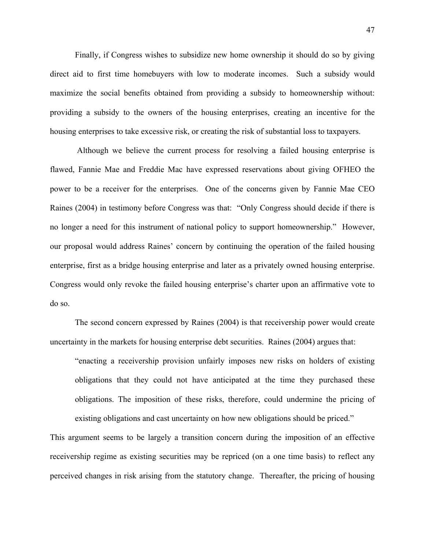Finally, if Congress wishes to subsidize new home ownership it should do so by giving direct aid to first time homebuyers with low to moderate incomes. Such a subsidy would maximize the social benefits obtained from providing a subsidy to homeownership without: providing a subsidy to the owners of the housing enterprises, creating an incentive for the housing enterprises to take excessive risk, or creating the risk of substantial loss to taxpayers.

 Although we believe the current process for resolving a failed housing enterprise is flawed, Fannie Mae and Freddie Mac have expressed reservations about giving OFHEO the power to be a receiver for the enterprises. One of the concerns given by Fannie Mae CEO Raines (2004) in testimony before Congress was that: "Only Congress should decide if there is no longer a need for this instrument of national policy to support homeownership." However, our proposal would address Raines' concern by continuing the operation of the failed housing enterprise, first as a bridge housing enterprise and later as a privately owned housing enterprise. Congress would only revoke the failed housing enterprise's charter upon an affirmative vote to do so.

 The second concern expressed by Raines (2004) is that receivership power would create uncertainty in the markets for housing enterprise debt securities. Raines (2004) argues that:

"enacting a receivership provision unfairly imposes new risks on holders of existing obligations that they could not have anticipated at the time they purchased these obligations. The imposition of these risks, therefore, could undermine the pricing of existing obligations and cast uncertainty on how new obligations should be priced."

This argument seems to be largely a transition concern during the imposition of an effective receivership regime as existing securities may be repriced (on a one time basis) to reflect any perceived changes in risk arising from the statutory change. Thereafter, the pricing of housing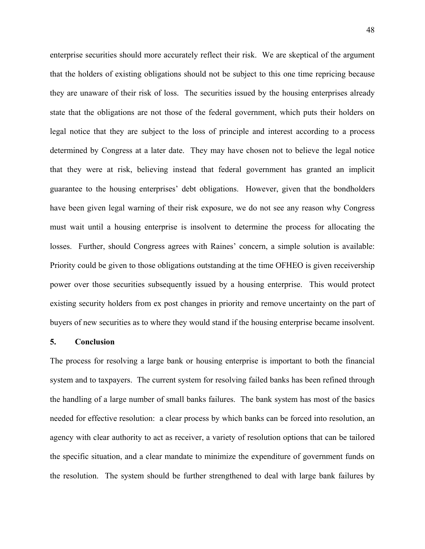enterprise securities should more accurately reflect their risk. We are skeptical of the argument that the holders of existing obligations should not be subject to this one time repricing because they are unaware of their risk of loss. The securities issued by the housing enterprises already state that the obligations are not those of the federal government, which puts their holders on legal notice that they are subject to the loss of principle and interest according to a process determined by Congress at a later date. They may have chosen not to believe the legal notice that they were at risk, believing instead that federal government has granted an implicit guarantee to the housing enterprises' debt obligations. However, given that the bondholders have been given legal warning of their risk exposure, we do not see any reason why Congress must wait until a housing enterprise is insolvent to determine the process for allocating the losses. Further, should Congress agrees with Raines' concern, a simple solution is available: Priority could be given to those obligations outstanding at the time OFHEO is given receivership power over those securities subsequently issued by a housing enterprise. This would protect existing security holders from ex post changes in priority and remove uncertainty on the part of buyers of new securities as to where they would stand if the housing enterprise became insolvent.

#### **5. Conclusion**

The process for resolving a large bank or housing enterprise is important to both the financial system and to taxpayers. The current system for resolving failed banks has been refined through the handling of a large number of small banks failures. The bank system has most of the basics needed for effective resolution: a clear process by which banks can be forced into resolution, an agency with clear authority to act as receiver, a variety of resolution options that can be tailored the specific situation, and a clear mandate to minimize the expenditure of government funds on the resolution. The system should be further strengthened to deal with large bank failures by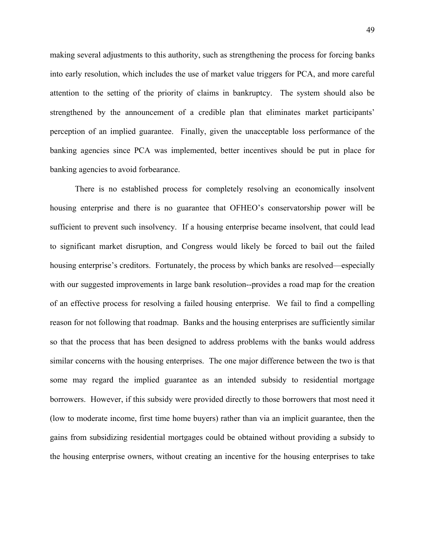making several adjustments to this authority, such as strengthening the process for forcing banks into early resolution, which includes the use of market value triggers for PCA, and more careful attention to the setting of the priority of claims in bankruptcy. The system should also be strengthened by the announcement of a credible plan that eliminates market participants' perception of an implied guarantee. Finally, given the unacceptable loss performance of the banking agencies since PCA was implemented, better incentives should be put in place for banking agencies to avoid forbearance.

There is no established process for completely resolving an economically insolvent housing enterprise and there is no guarantee that OFHEO's conservatorship power will be sufficient to prevent such insolvency. If a housing enterprise became insolvent, that could lead to significant market disruption, and Congress would likely be forced to bail out the failed housing enterprise's creditors. Fortunately, the process by which banks are resolved—especially with our suggested improvements in large bank resolution--provides a road map for the creation of an effective process for resolving a failed housing enterprise. We fail to find a compelling reason for not following that roadmap. Banks and the housing enterprises are sufficiently similar so that the process that has been designed to address problems with the banks would address similar concerns with the housing enterprises. The one major difference between the two is that some may regard the implied guarantee as an intended subsidy to residential mortgage borrowers. However, if this subsidy were provided directly to those borrowers that most need it (low to moderate income, first time home buyers) rather than via an implicit guarantee, then the gains from subsidizing residential mortgages could be obtained without providing a subsidy to the housing enterprise owners, without creating an incentive for the housing enterprises to take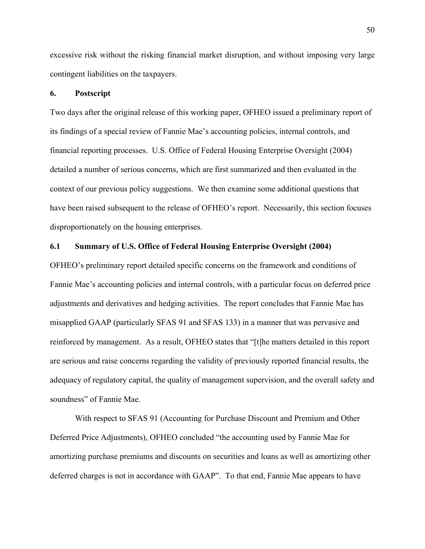excessive risk without the risking financial market disruption, and without imposing very large contingent liabilities on the taxpayers.

#### **6. Postscript**

Two days after the original release of this working paper, OFHEO issued a preliminary report of its findings of a special review of Fannie Mae's accounting policies, internal controls, and financial reporting processes. U.S. Office of Federal Housing Enterprise Oversight (2004) detailed a number of serious concerns, which are first summarized and then evaluated in the context of our previous policy suggestions. We then examine some additional questions that have been raised subsequent to the release of OFHEO's report. Necessarily, this section focuses disproportionately on the housing enterprises.

#### **6.1 Summary of U.S. Office of Federal Housing Enterprise Oversight (2004)**

OFHEO's preliminary report detailed specific concerns on the framework and conditions of Fannie Mae's accounting policies and internal controls, with a particular focus on deferred price adjustments and derivatives and hedging activities. The report concludes that Fannie Mae has misapplied GAAP (particularly SFAS 91 and SFAS 133) in a manner that was pervasive and reinforced by management. As a result, OFHEO states that "[t]he matters detailed in this report are serious and raise concerns regarding the validity of previously reported financial results, the adequacy of regulatory capital, the quality of management supervision, and the overall safety and soundness" of Fannie Mae.

 With respect to SFAS 91 (Accounting for Purchase Discount and Premium and Other Deferred Price Adjustments), OFHEO concluded "the accounting used by Fannie Mae for amortizing purchase premiums and discounts on securities and loans as well as amortizing other deferred charges is not in accordance with GAAP". To that end, Fannie Mae appears to have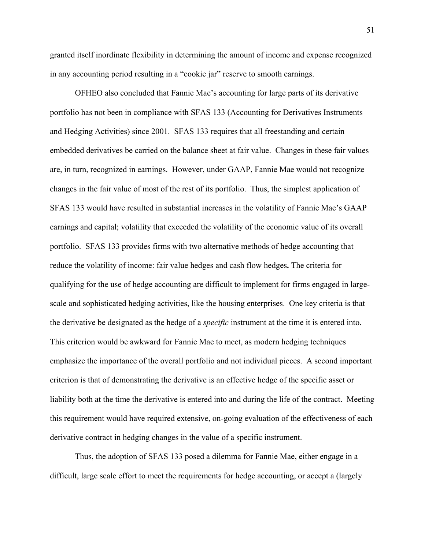granted itself inordinate flexibility in determining the amount of income and expense recognized in any accounting period resulting in a "cookie jar" reserve to smooth earnings.

OFHEO also concluded that Fannie Mae's accounting for large parts of its derivative portfolio has not been in compliance with SFAS 133 (Accounting for Derivatives Instruments and Hedging Activities) since 2001. SFAS 133 requires that all freestanding and certain embedded derivatives be carried on the balance sheet at fair value. Changes in these fair values are, in turn, recognized in earnings. However, under GAAP, Fannie Mae would not recognize changes in the fair value of most of the rest of its portfolio. Thus, the simplest application of SFAS 133 would have resulted in substantial increases in the volatility of Fannie Mae's GAAP earnings and capital; volatility that exceeded the volatility of the economic value of its overall portfolio. SFAS 133 provides firms with two alternative methods of hedge accounting that reduce the volatility of income: fair value hedges and cash flow hedges**.** The criteria for qualifying for the use of hedge accounting are difficult to implement for firms engaged in largescale and sophisticated hedging activities, like the housing enterprises. One key criteria is that the derivative be designated as the hedge of a *specific* instrument at the time it is entered into. This criterion would be awkward for Fannie Mae to meet, as modern hedging techniques emphasize the importance of the overall portfolio and not individual pieces. A second important criterion is that of demonstrating the derivative is an effective hedge of the specific asset or liability both at the time the derivative is entered into and during the life of the contract. Meeting this requirement would have required extensive, on-going evaluation of the effectiveness of each derivative contract in hedging changes in the value of a specific instrument.

Thus, the adoption of SFAS 133 posed a dilemma for Fannie Mae, either engage in a difficult, large scale effort to meet the requirements for hedge accounting, or accept a (largely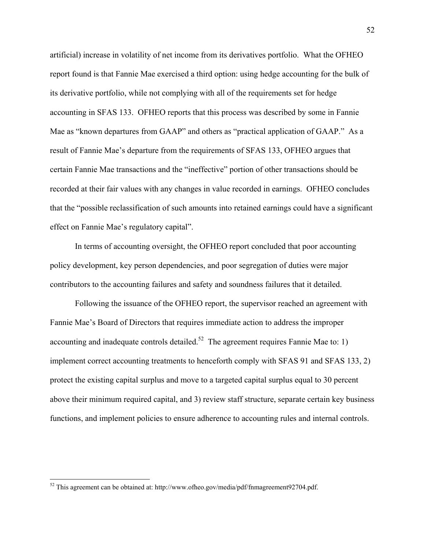artificial) increase in volatility of net income from its derivatives portfolio. What the OFHEO report found is that Fannie Mae exercised a third option: using hedge accounting for the bulk of its derivative portfolio, while not complying with all of the requirements set for hedge accounting in SFAS 133. OFHEO reports that this process was described by some in Fannie Mae as "known departures from GAAP" and others as "practical application of GAAP." As a result of Fannie Mae's departure from the requirements of SFAS 133, OFHEO argues that certain Fannie Mae transactions and the "ineffective" portion of other transactions should be recorded at their fair values with any changes in value recorded in earnings. OFHEO concludes that the "possible reclassification of such amounts into retained earnings could have a significant effect on Fannie Mae's regulatory capital".

 In terms of accounting oversight, the OFHEO report concluded that poor accounting policy development, key person dependencies, and poor segregation of duties were major contributors to the accounting failures and safety and soundness failures that it detailed.

 Following the issuance of the OFHEO report, the supervisor reached an agreement with Fannie Mae's Board of Directors that requires immediate action to address the improper accounting and inadequate controls detailed.<sup>52</sup> The agreement requires Fannie Mae to: 1) implement correct accounting treatments to henceforth comply with SFAS 91 and SFAS 133, 2) protect the existing capital surplus and move to a targeted capital surplus equal to 30 percent above their minimum required capital, and 3) review staff structure, separate certain key business functions, and implement policies to ensure adherence to accounting rules and internal controls.

 $52$  This agreement can be obtained at: http://www.ofheo.gov/media/pdf/fnmagreement92704.pdf.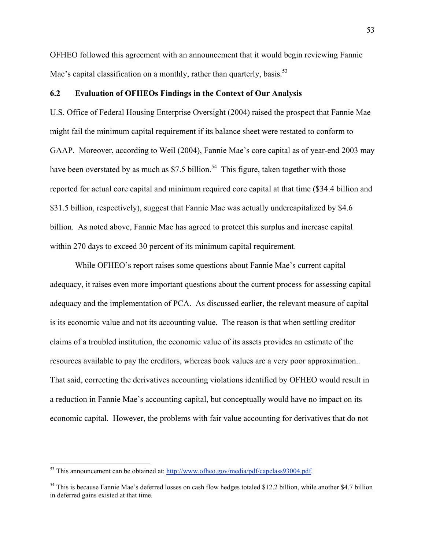OFHEO followed this agreement with an announcement that it would begin reviewing Fannie Mae's capital classification on a monthly, rather than quarterly, basis.<sup>53</sup>

#### **6.2 Evaluation of OFHEOs Findings in the Context of Our Analysis**

U.S. Office of Federal Housing Enterprise Oversight (2004) raised the prospect that Fannie Mae might fail the minimum capital requirement if its balance sheet were restated to conform to GAAP. Moreover, according to Weil (2004), Fannie Mae's core capital as of year-end 2003 may have been overstated by as much as \$7.5 billion.<sup>54</sup> This figure, taken together with those reported for actual core capital and minimum required core capital at that time (\$34.4 billion and \$31.5 billion, respectively), suggest that Fannie Mae was actually undercapitalized by \$4.6 billion. As noted above, Fannie Mae has agreed to protect this surplus and increase capital within 270 days to exceed 30 percent of its minimum capital requirement.

While OFHEO's report raises some questions about Fannie Mae's current capital adequacy, it raises even more important questions about the current process for assessing capital adequacy and the implementation of PCA. As discussed earlier, the relevant measure of capital is its economic value and not its accounting value. The reason is that when settling creditor claims of a troubled institution, the economic value of its assets provides an estimate of the resources available to pay the creditors, whereas book values are a very poor approximation.. That said, correcting the derivatives accounting violations identified by OFHEO would result in a reduction in Fannie Mae's accounting capital, but conceptually would have no impact on its economic capital. However, the problems with fair value accounting for derivatives that do not

<sup>53</sup> This announcement can be obtained at: http://www.ofheo.gov/media/pdf/capclass93004.pdf.

<sup>&</sup>lt;sup>54</sup> This is because Fannie Mae's deferred losses on cash flow hedges totaled \$12.2 billion, while another \$4.7 billion in deferred gains existed at that time.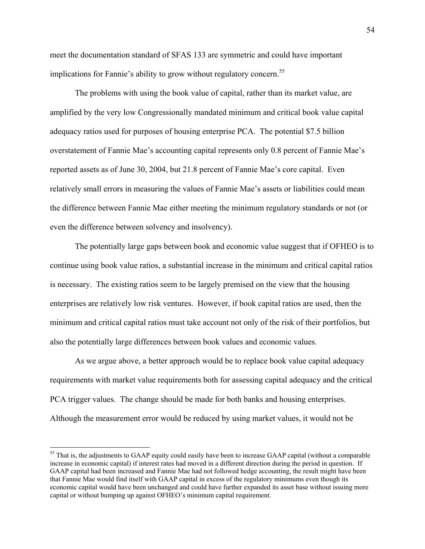meet the documentation standard of SFAS 133 are symmetric and could have important implications for Fannie's ability to grow without regulatory concern.<sup>55</sup>

The problems with using the book value of capital, rather than its market value, are amplified by the very low Congressionally mandated minimum and critical book value capital adequacy ratios used for purposes of housing enterprise PCA. The potential \$7.5 billion overstatement of Fannie Mae's accounting capital represents only 0.8 percent of Fannie Mae's reported assets as of June 30, 2004, but 21.8 percent of Fannie Mae's core capital. Even relatively small errors in measuring the values of Fannie Mae's assets or liabilities could mean the difference between Fannie Mae either meeting the minimum regulatory standards or not (or even the difference between solvency and insolvency).

The potentially large gaps between book and economic value suggest that if OFHEO is to continue using book value ratios, a substantial increase in the minimum and critical capital ratios is necessary. The existing ratios seem to be largely premised on the view that the housing enterprises are relatively low risk ventures. However, if book capital ratios are used, then the minimum and critical capital ratios must take account not only of the risk of their portfolios, but also the potentially large differences between book values and economic values.

As we argue above, a better approach would be to replace book value capital adequacy requirements with market value requirements both for assessing capital adequacy and the critical PCA trigger values. The change should be made for both banks and housing enterprises. Although the measurement error would be reduced by using market values, it would not be

<sup>&</sup>lt;sup>55</sup> That is, the adjustments to GAAP equity could easily have been to increase GAAP capital (without a comparable increase in economic capital) if interest rates had moved in a different direction during the period in question. If GAAP capital had been increased and Fannie Mae had not followed hedge accounting, the result might have been that Fannie Mae would find itself with GAAP capital in excess of the regulatory minimums even though its economic capital would have been unchanged and could have further expanded its asset base without issuing more capital or without bumping up against OFHEO's minimum capital requirement.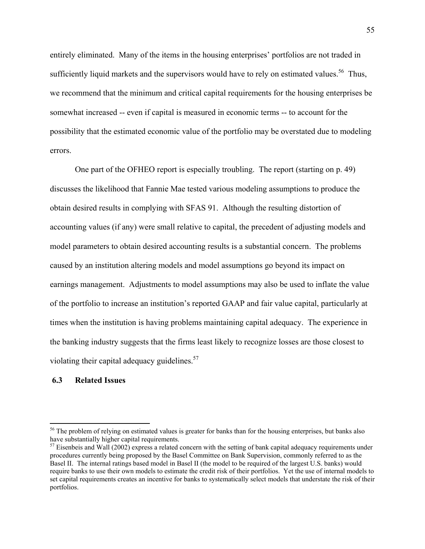entirely eliminated. Many of the items in the housing enterprises' portfolios are not traded in sufficiently liquid markets and the supervisors would have to rely on estimated values.<sup>56</sup> Thus, we recommend that the minimum and critical capital requirements for the housing enterprises be somewhat increased -- even if capital is measured in economic terms -- to account for the possibility that the estimated economic value of the portfolio may be overstated due to modeling errors.

One part of the OFHEO report is especially troubling. The report (starting on p. 49) discusses the likelihood that Fannie Mae tested various modeling assumptions to produce the obtain desired results in complying with SFAS 91. Although the resulting distortion of accounting values (if any) were small relative to capital, the precedent of adjusting models and model parameters to obtain desired accounting results is a substantial concern. The problems caused by an institution altering models and model assumptions go beyond its impact on earnings management. Adjustments to model assumptions may also be used to inflate the value of the portfolio to increase an institution's reported GAAP and fair value capital, particularly at times when the institution is having problems maintaining capital adequacy. The experience in the banking industry suggests that the firms least likely to recognize losses are those closest to violating their capital adequacy guidelines. $57$ 

#### **6.3 Related Issues**

<sup>&</sup>lt;sup>56</sup> The problem of relying on estimated values is greater for banks than for the housing enterprises, but banks also have substantially higher capital requirements.

 $57$  Eisenbeis and Wall (2002) express a related concern with the setting of bank capital adequacy requirements under procedures currently being proposed by the Basel Committee on Bank Supervision, commonly referred to as the Basel II. The internal ratings based model in Basel II (the model to be required of the largest U.S. banks) would require banks to use their own models to estimate the credit risk of their portfolios. Yet the use of internal models to set capital requirements creates an incentive for banks to systematically select models that understate the risk of their portfolios.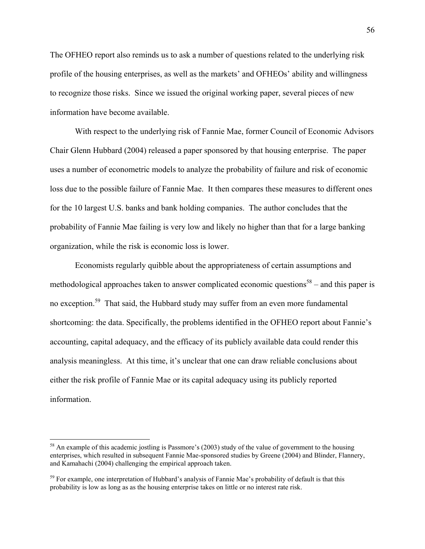The OFHEO report also reminds us to ask a number of questions related to the underlying risk profile of the housing enterprises, as well as the markets' and OFHEOs' ability and willingness to recognize those risks. Since we issued the original working paper, several pieces of new information have become available.

With respect to the underlying risk of Fannie Mae, former Council of Economic Advisors Chair Glenn Hubbard (2004) released a paper sponsored by that housing enterprise. The paper uses a number of econometric models to analyze the probability of failure and risk of economic loss due to the possible failure of Fannie Mae. It then compares these measures to different ones for the 10 largest U.S. banks and bank holding companies. The author concludes that the probability of Fannie Mae failing is very low and likely no higher than that for a large banking organization, while the risk is economic loss is lower.

Economists regularly quibble about the appropriateness of certain assumptions and methodological approaches taken to answer complicated economic questions<sup>58</sup> – and this paper is no exception.<sup>59</sup> That said, the Hubbard study may suffer from an even more fundamental shortcoming: the data. Specifically, the problems identified in the OFHEO report about Fannie's accounting, capital adequacy, and the efficacy of its publicly available data could render this analysis meaningless. At this time, it's unclear that one can draw reliable conclusions about either the risk profile of Fannie Mae or its capital adequacy using its publicly reported information.

<sup>&</sup>lt;sup>58</sup> An example of this academic jostling is Passmore's (2003) study of the value of government to the housing enterprises, which resulted in subsequent Fannie Mae-sponsored studies by Greene (2004) and Blinder, Flannery, and Kamahachi (2004) challenging the empirical approach taken.

<sup>&</sup>lt;sup>59</sup> For example, one interpretation of Hubbard's analysis of Fannie Mae's probability of default is that this probability is low as long as as the housing enterprise takes on little or no interest rate risk.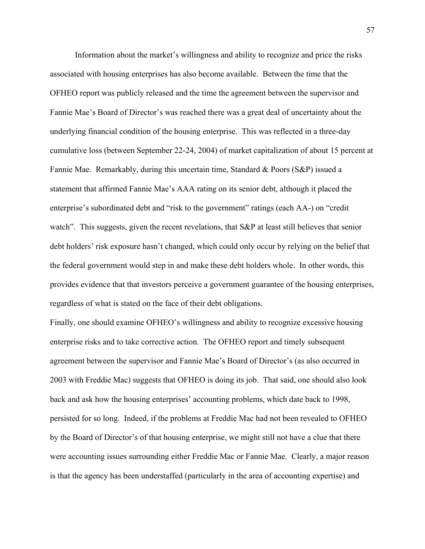Information about the market's willingness and ability to recognize and price the risks associated with housing enterprises has also become available. Between the time that the OFHEO report was publicly released and the time the agreement between the supervisor and Fannie Mae's Board of Director's was reached there was a great deal of uncertainty about the underlying financial condition of the housing enterprise. This was reflected in a three-day cumulative loss (between September 22-24, 2004) of market capitalization of about 15 percent at Fannie Mae. Remarkably, during this uncertain time, Standard & Poors (S&P) issued a statement that affirmed Fannie Mae's AAA rating on its senior debt, although it placed the enterprise's subordinated debt and "risk to the government" ratings (each AA-) on "credit" watch". This suggests, given the recent revelations, that S&P at least still believes that senior debt holders' risk exposure hasn't changed, which could only occur by relying on the belief that the federal government would step in and make these debt holders whole. In other words, this provides evidence that that investors perceive a government guarantee of the housing enterprises, regardless of what is stated on the face of their debt obligations.

Finally, one should examine OFHEO's willingness and ability to recognize excessive housing enterprise risks and to take corrective action. The OFHEO report and timely subsequent agreement between the supervisor and Fannie Mae's Board of Director's (as also occurred in 2003 with Freddie Mac) suggests that OFHEO is doing its job. That said, one should also look back and ask how the housing enterprises' accounting problems, which date back to 1998, persisted for so long. Indeed, if the problems at Freddie Mac had not been revealed to OFHEO by the Board of Director's of that housing enterprise, we might still not have a clue that there were accounting issues surrounding either Freddie Mac or Fannie Mae. Clearly, a major reason is that the agency has been understaffed (particularly in the area of accounting expertise) and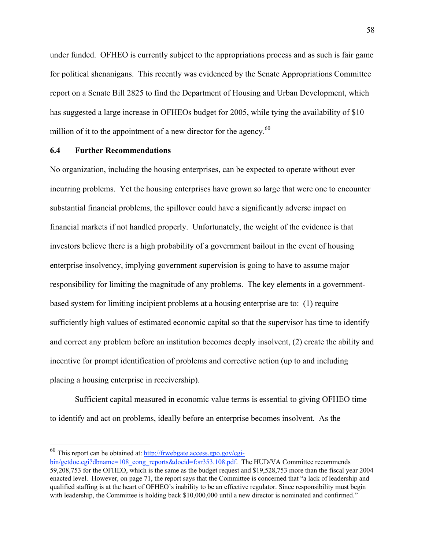under funded. OFHEO is currently subject to the appropriations process and as such is fair game for political shenanigans. This recently was evidenced by the Senate Appropriations Committee report on a Senate Bill 2825 to find the Department of Housing and Urban Development, which has suggested a large increase in OFHEOs budget for 2005, while tying the availability of \$10 million of it to the appointment of a new director for the agency.<sup>60</sup>

#### **6.4 Further Recommendations**

No organization, including the housing enterprises, can be expected to operate without ever incurring problems. Yet the housing enterprises have grown so large that were one to encounter substantial financial problems, the spillover could have a significantly adverse impact on financial markets if not handled properly. Unfortunately, the weight of the evidence is that investors believe there is a high probability of a government bailout in the event of housing enterprise insolvency, implying government supervision is going to have to assume major responsibility for limiting the magnitude of any problems. The key elements in a governmentbased system for limiting incipient problems at a housing enterprise are to: (1) require sufficiently high values of estimated economic capital so that the supervisor has time to identify and correct any problem before an institution becomes deeply insolvent, (2) create the ability and incentive for prompt identification of problems and corrective action (up to and including placing a housing enterprise in receivership).

 Sufficient capital measured in economic value terms is essential to giving OFHEO time to identify and act on problems, ideally before an enterprise becomes insolvent. As the

<u>.</u>

 $60$  This report can be obtained at:  $\frac{http://frwebgate.access.pop.gov/cgi-$ 

bin/getdoc.cgi?dbname=108\_cong\_reports&docid=f:sr353.108.pdf. The HUD/VA Committee recommends 59,208,753 for the OFHEO, which is the same as the budget request and \$19,528,753 more than the fiscal year 2004 enacted level. However, on page 71, the report says that the Committee is concerned that "a lack of leadership and qualified staffing is at the heart of OFHEO's inability to be an effective regulator. Since responsibility must begin with leadership, the Committee is holding back \$10,000,000 until a new director is nominated and confirmed."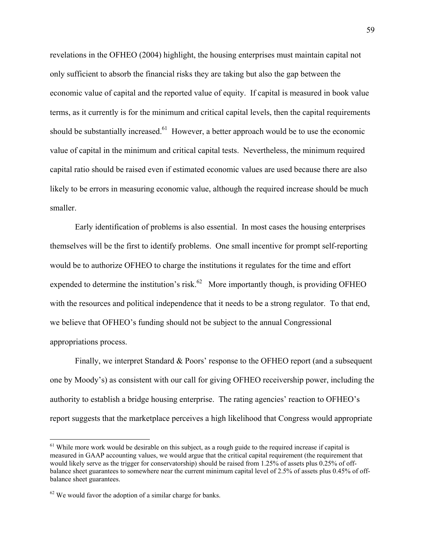revelations in the OFHEO (2004) highlight, the housing enterprises must maintain capital not only sufficient to absorb the financial risks they are taking but also the gap between the economic value of capital and the reported value of equity. If capital is measured in book value terms, as it currently is for the minimum and critical capital levels, then the capital requirements should be substantially increased.<sup>61</sup> However, a better approach would be to use the economic value of capital in the minimum and critical capital tests. Nevertheless, the minimum required capital ratio should be raised even if estimated economic values are used because there are also likely to be errors in measuring economic value, although the required increase should be much smaller.

 Early identification of problems is also essential. In most cases the housing enterprises themselves will be the first to identify problems. One small incentive for prompt self-reporting would be to authorize OFHEO to charge the institutions it regulates for the time and effort expended to determine the institution's risk.<sup>62</sup> More importantly though, is providing OFHEO with the resources and political independence that it needs to be a strong regulator. To that end, we believe that OFHEO's funding should not be subject to the annual Congressional appropriations process.

 Finally, we interpret Standard & Poors' response to the OFHEO report (and a subsequent one by Moody's) as consistent with our call for giving OFHEO receivership power, including the authority to establish a bridge housing enterprise. The rating agencies' reaction to OFHEO's report suggests that the marketplace perceives a high likelihood that Congress would appropriate

 $61$  While more work would be desirable on this subject, as a rough guide to the required increase if capital is measured in GAAP accounting values, we would argue that the critical capital requirement (the requirement that would likely serve as the trigger for conservatorship) should be raised from 1.25% of assets plus 0.25% of offbalance sheet guarantees to somewhere near the current minimum capital level of 2.5% of assets plus 0.45% of offbalance sheet guarantees.

 $62$  We would favor the adoption of a similar charge for banks.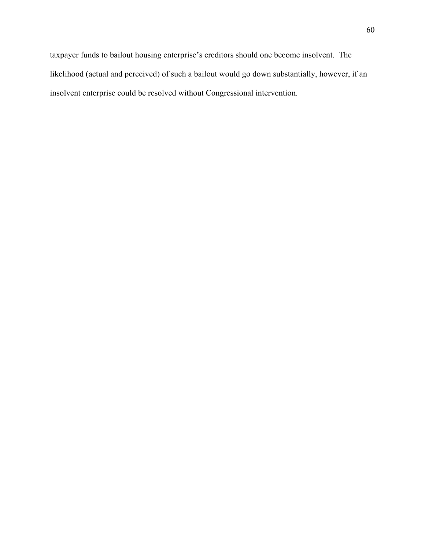taxpayer funds to bailout housing enterprise's creditors should one become insolvent. The likelihood (actual and perceived) of such a bailout would go down substantially, however, if an insolvent enterprise could be resolved without Congressional intervention.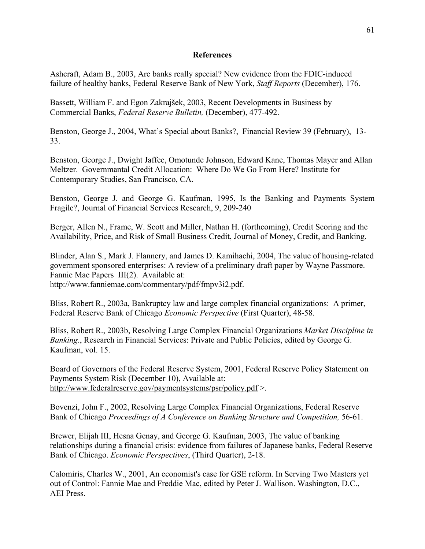#### **References**

Ashcraft, Adam B., 2003, Are banks really special? New evidence from the FDIC-induced failure of healthy banks, Federal Reserve Bank of New York, *Staff Reports* (December), 176.

Bassett, William F. and Egon Zakrajšek, 2003, Recent Developments in Business by Commercial Banks, *Federal Reserve Bulletin,* (December), 477-492.

Benston, George J., 2004, What's Special about Banks?, Financial Review 39 (February), 13- 33.

Benston, George J., Dwight Jaffee, Omotunde Johnson, Edward Kane, Thomas Mayer and Allan Meltzer. Governmantal Credit Allocation: Where Do We Go From Here? Institute for Contemporary Studies, San Francisco, CA.

Benston, George J. and George G. Kaufman, 1995, Is the Banking and Payments System Fragile?, Journal of Financial Services Research, 9, 209-240

Berger, Allen N., Frame, W. Scott and Miller, Nathan H. (forthcoming), Credit Scoring and the Availability, Price, and Risk of Small Business Credit, Journal of Money, Credit, and Banking.

Blinder, Alan S., Mark J. Flannery, and James D. Kamihachi, 2004, The value of housing-related government sponsored enterprises: A review of a preliminary draft paper by Wayne Passmore. Fannie Mae Papers III(2). Available at: http://www.fanniemae.com/commentary/pdf/fmpv3i2.pdf.

Bliss, Robert R., 2003a, Bankruptcy law and large complex financial organizations: A primer, Federal Reserve Bank of Chicago *Economic Perspective* (First Quarter), 48-58.

Bliss, Robert R., 2003b, Resolving Large Complex Financial Organizations *Market Discipline in Banking*., Research in Financial Services: Private and Public Policies, edited by George G. Kaufman, vol. 15.

Board of Governors of the Federal Reserve System, 2001, Federal Reserve Policy Statement on Payments System Risk (December 10), Available at: http://www.federalreserve.gov/paymentsystems/psr/policy.pdf >.

Bovenzi, John F., 2002, Resolving Large Complex Financial Organizations, Federal Reserve Bank of Chicago *Proceedings of A Conference on Banking Structure and Competition,* 56-61.

Brewer, Elijah III, Hesna Genay, and George G. Kaufman, 2003, The value of banking relationships during a financial crisis: evidence from failures of Japanese banks, Federal Reserve Bank of Chicago. *Economic Perspectives*, (Third Quarter), 2-18.

Calomiris, Charles W., 2001, An economist's case for GSE reform. In Serving Two Masters yet out of Control: Fannie Mae and Freddie Mac, edited by Peter J. Wallison. Washington, D.C., AEI Press.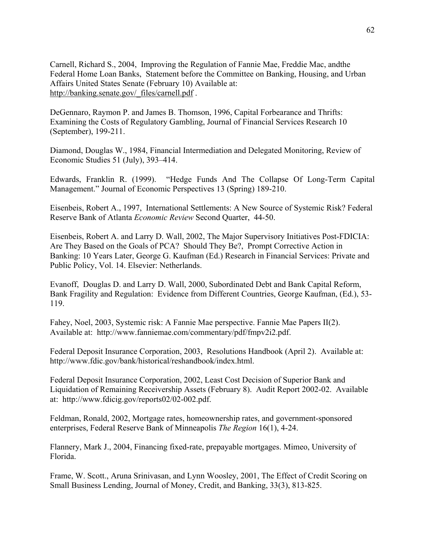Carnell, Richard S., 2004, Improving the Regulation of Fannie Mae, Freddie Mac, andthe Federal Home Loan Banks, Statement before the Committee on Banking, Housing, and Urban Affairs United States Senate (February 10) Available at: http://banking.senate.gov/\_files/carnell.pdf .

DeGennaro, Raymon P. and James B. Thomson, 1996, Capital Forbearance and Thrifts: Examining the Costs of Regulatory Gambling, Journal of Financial Services Research 10 (September), 199-211.

Diamond, Douglas W., 1984, Financial Intermediation and Delegated Monitoring, Review of Economic Studies 51 (July), 393–414.

Edwards, Franklin R. (1999). "Hedge Funds And The Collapse Of Long-Term Capital Management." Journal of Economic Perspectives 13 (Spring) 189-210.

Eisenbeis, Robert A., 1997, International Settlements: A New Source of Systemic Risk? Federal Reserve Bank of Atlanta *Economic Review* Second Quarter, 44-50.

Eisenbeis, Robert A. and Larry D. Wall, 2002, The Major Supervisory Initiatives Post-FDICIA: Are They Based on the Goals of PCA? Should They Be?, Prompt Corrective Action in Banking: 10 Years Later, George G. Kaufman (Ed.) Research in Financial Services: Private and Public Policy, Vol. 14. Elsevier: Netherlands.

Evanoff, Douglas D. and Larry D. Wall, 2000, Subordinated Debt and Bank Capital Reform, Bank Fragility and Regulation: Evidence from Different Countries, George Kaufman, (Ed.), 53- 119.

Fahey, Noel, 2003, Systemic risk: A Fannie Mae perspective. Fannie Mae Papers II(2). Available at: http://www.fanniemae.com/commentary/pdf/fmpv2i2.pdf.

Federal Deposit Insurance Corporation, 2003, Resolutions Handbook (April 2). Available at: http://www.fdic.gov/bank/historical/reshandbook/index.html.

Federal Deposit Insurance Corporation, 2002, Least Cost Decision of Superior Bank and Liquidation of Remaining Receivership Assets (February 8). Audit Report 2002-02. Available at: http://www.fdicig.gov/reports02/02-002.pdf.

Feldman, Ronald, 2002, Mortgage rates, homeownership rates, and government-sponsored enterprises, Federal Reserve Bank of Minneapolis *The Region* 16(1), 4-24.

Flannery, Mark J., 2004, Financing fixed-rate, prepayable mortgages. Mimeo, University of Florida.

Frame, W. Scott., Aruna Srinivasan, and Lynn Woosley, 2001, The Effect of Credit Scoring on Small Business Lending, Journal of Money, Credit, and Banking, 33(3), 813-825.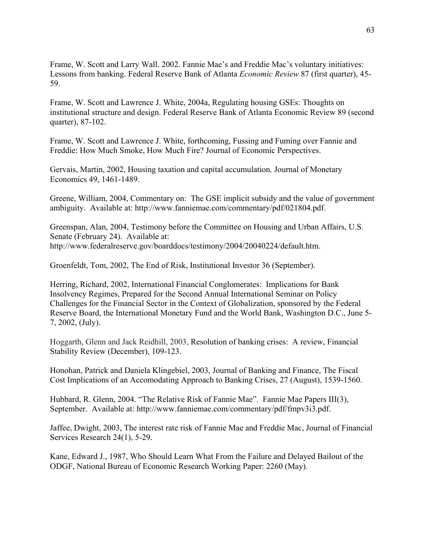Frame, W. Scott and Larry Wall. 2002. Fannie Mae's and Freddie Mac's voluntary initiatives: Lessons from banking. Federal Reserve Bank of Atlanta *Economic Review* 87 (first quarter), 45- 59.

Frame, W. Scott and Lawrence J. White, 2004a, Regulating housing GSEs: Thoughts on institutional structure and design. Federal Reserve Bank of Atlanta Economic Review 89 (second quarter), 87-102.

Frame, W. Scott and Lawrence J. White, forthcoming, Fussing and Fuming over Fannie and Freddie: How Much Smoke, How Much Fire? Journal of Economic Perspectives.

Gervais, Martin, 2002, Housing taxation and capital accumulation*,* Journal of Monetary Economics 49, 1461-1489.

Greene, William, 2004, Commentary on: The GSE implicit subsidy and the value of government ambiguity. Available at: http://www.fanniemae.com/commentary/pdf/021804.pdf.

Greenspan, Alan, 2004, Testimony before the Committee on Housing and Urban Affairs, U.S. Senate (February 24). Available at: http://www.federalreserve.gov/boarddocs/testimony/2004/20040224/default.htm.

Groenfeldt, Tom, 2002, The End of Risk, Institutional Investor 36 (September).

Herring, Richard, 2002, International Financial Conglomerates: Implications for Bank Insolvency Regimes, Prepared for the Second Annual International Seminar on Policy Challenges for the Financial Sector in the Context of Globalization, sponsored by the Federal Reserve Board, the International Monetary Fund and the World Bank, Washington D.C., June 5- 7, 2002, (July).

Hoggarth, Glenn and Jack Reidhill, 2003, Resolution of banking crises: A review, Financial Stability Review (December), 109-123.

Honohan, Patrick and Daniela Klingebiel, 2003, Journal of Banking and Finance, The Fiscal Cost Implications of an Accomodating Approach to Banking Crises, 27 (August), 1539-1560.

Hubbard, R. Glenn, 2004. "The Relative Risk of Fannie Mae". Fannie Mae Papers III(3), September. Available at: http://www.fanniemae.com/commentary/pdf/fmpv3i3.pdf.

Jaffee, Dwight, 2003, The interest rate risk of Fannie Mae and Freddie Mac, Journal of Financial Services Research 24(1), 5-29.

Kane, Edward J., 1987, Who Should Learn What From the Failure and Delayed Bailout of the ODGF, National Bureau of Economic Research Working Paper: 2260 (May).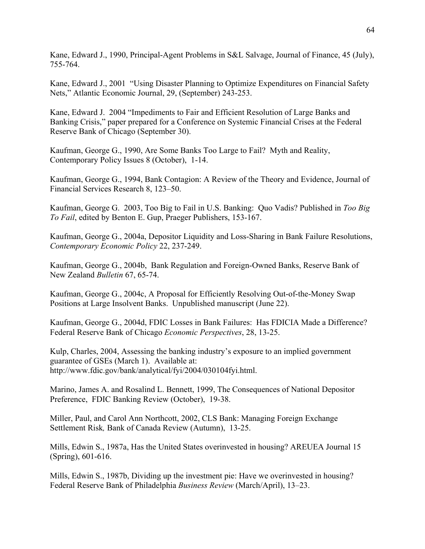Kane, Edward J., 1990, Principal-Agent Problems in S&L Salvage, Journal of Finance, 45 (July), 755-764.

Kane, Edward J., 2001 "Using Disaster Planning to Optimize Expenditures on Financial Safety Nets," Atlantic Economic Journal, 29, (September) 243-253.

Kane, Edward J. 2004 "Impediments to Fair and Efficient Resolution of Large Banks and Banking Crisis," paper prepared for a Conference on Systemic Financial Crises at the Federal Reserve Bank of Chicago (September 30).

Kaufman, George G., 1990, Are Some Banks Too Large to Fail? Myth and Reality, Contemporary Policy Issues 8 (October), 1-14.

Kaufman, George G., 1994, Bank Contagion: A Review of the Theory and Evidence, Journal of Financial Services Research 8, 123–50.

Kaufman, George G. 2003, Too Big to Fail in U.S. Banking: Quo Vadis? Published in *Too Big To Fail*, edited by Benton E. Gup, Praeger Publishers, 153-167.

Kaufman, George G., 2004a, Depositor Liquidity and Loss-Sharing in Bank Failure Resolutions, *Contemporary Economic Policy* 22, 237-249.

Kaufman, George G., 2004b, Bank Regulation and Foreign-Owned Banks, Reserve Bank of New Zealand *Bulletin* 67, 65-74.

Kaufman, George G., 2004c, A Proposal for Efficiently Resolving Out-of-the-Money Swap Positions at Large Insolvent Banks. Unpublished manuscript (June 22).

Kaufman, George G., 2004d, FDIC Losses in Bank Failures: Has FDICIA Made a Difference? Federal Reserve Bank of Chicago *Economic Perspectives*, 28, 13-25.

Kulp, Charles, 2004, Assessing the banking industry's exposure to an implied government guarantee of GSEs (March 1). Available at: http://www.fdic.gov/bank/analytical/fyi/2004/030104fyi.html.

Marino, James A. and Rosalind L. Bennett, 1999, The Consequences of National Depositor Preference, FDIC Banking Review (October), 19-38.

Miller, Paul, and Carol Ann Northcott, 2002, CLS Bank: Managing Foreign Exchange Settlement Risk*,* Bank of Canada Review (Autumn), 13-25.

Mills, Edwin S., 1987a, Has the United States overinvested in housing? AREUEA Journal 15 (Spring), 601-616.

Mills, Edwin S., 1987b, Dividing up the investment pie: Have we overinvested in housing? Federal Reserve Bank of Philadelphia *Business Review* (March/April), 13–23.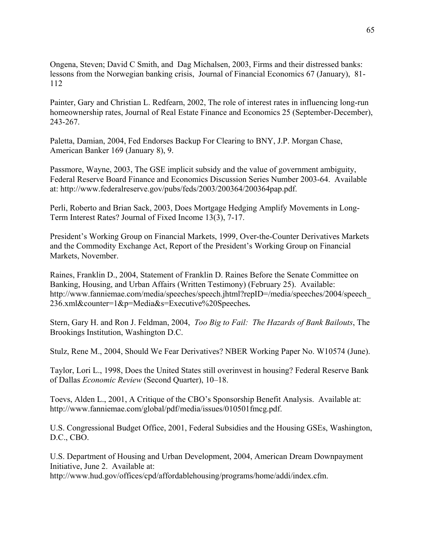Ongena, Steven; David C Smith, and Dag Michalsen, 2003, Firms and their distressed banks: lessons from the Norwegian banking crisis, Journal of Financial Economics 67 (January), 81- 112

Painter, Gary and Christian L. Redfearn, 2002, The role of interest rates in influencing long-run homeownership rates, Journal of Real Estate Finance and Economics 25 (September-December), 243-267.

Paletta, Damian, 2004, Fed Endorses Backup For Clearing to BNY, J.P. Morgan Chase, American Banker 169 (January 8), 9.

Passmore, Wayne, 2003, The GSE implicit subsidy and the value of government ambiguity, Federal Reserve Board Finance and Economics Discussion Series Number 2003-64. Available at: http://www.federalreserve.gov/pubs/feds/2003/200364/200364pap.pdf.

Perli, Roberto and Brian Sack, 2003, Does Mortgage Hedging Amplify Movements in Long-Term Interest Rates? Journal of Fixed Income 13(3), 7-17.

President's Working Group on Financial Markets, 1999, Over-the-Counter Derivatives Markets and the Commodity Exchange Act, Report of the President's Working Group on Financial Markets, November.

Raines, Franklin D., 2004, Statement of Franklin D. Raines Before the Senate Committee on Banking, Housing, and Urban Affairs (Written Testimony) (February 25). Available: http://www.fanniemae.com/media/speeches/speech.jhtml?repID=/media/speeches/2004/speech\_ 236.xml&counter=1&p=Media&s=Executive%20Speeches**.** 

Stern, Gary H. and Ron J. Feldman, 2004, *Too Big to Fail: The Hazards of Bank Bailouts*, The Brookings Institution, Washington D.C.

Stulz, Rene M., 2004, Should We Fear Derivatives? NBER Working Paper No. W10574 (June).

Taylor, Lori L., 1998, Does the United States still overinvest in housing? Federal Reserve Bank of Dallas *Economic Review* (Second Quarter), 10–18.

Toevs, Alden L., 2001, A Critique of the CBO's Sponsorship Benefit Analysis. Available at: http://www.fanniemae.com/global/pdf/media/issues/010501fmcg.pdf.

U.S. Congressional Budget Office, 2001, Federal Subsidies and the Housing GSEs, Washington, D.C., CBO.

U.S. Department of Housing and Urban Development, 2004, American Dream Downpayment Initiative, June 2. Available at:

http://www.hud.gov/offices/cpd/affordablehousing/programs/home/addi/index.cfm.